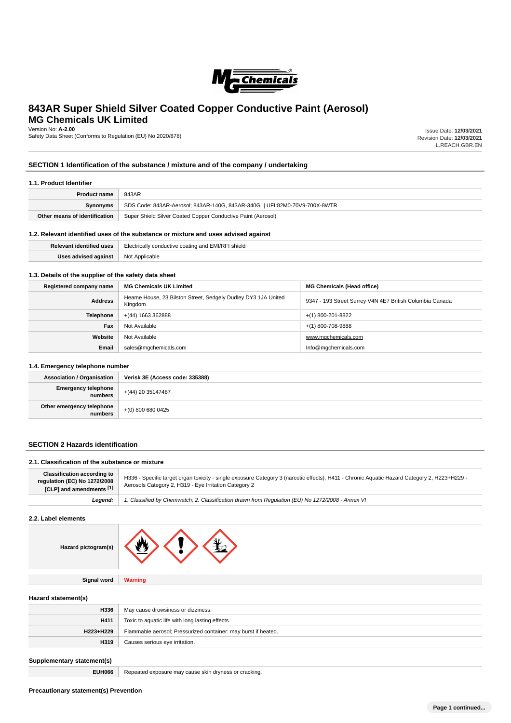

# **843AR Super Shield Silver Coated Copper Conductive Paint (Aerosol) MG Chemicals UK Limited**

Version No: **A-2.00**

Safety Data Sheet (Conforms to Regulation (EU) No 2020/878)

Issue Date: **12/03/2021** Revision Date: **12/03/2021** L.REACH.GBR.EN

# **SECTION 1 Identification of the substance / mixture and of the company / undertaking**

### **1.1. Product Identifier**

| <b>Product name</b>           | 843AR                                                                     |  |
|-------------------------------|---------------------------------------------------------------------------|--|
| Synonyms                      | SDS Code: 843AR-Aerosol; 843AR-140G, 843AR-340G   UFI:82M0-70V9-700X-8WTR |  |
| Other means of identification | Super Shield Silver Coated Copper Conductive Paint (Aerosol)              |  |
|                               |                                                                           |  |

## **1.2. Relevant identified uses of the substance or mixture and uses advised against**

| <b>Polovant</b><br>uses | <b>Electrically</b><br>shield<br>$($ conductive<br>. |  |  |
|-------------------------|------------------------------------------------------|--|--|
| Hene advient            | N <sub>N</sub><br>טויו<br>.                          |  |  |

### **1.3. Details of the supplier of the safety data sheet**

| Registered company name | <b>MG Chemicals UK Limited</b>                                           | <b>MG Chemicals (Head office)</b>                        |  |
|-------------------------|--------------------------------------------------------------------------|----------------------------------------------------------|--|
| <b>Address</b>          | Heame House, 23 Bilston Street, Sedgely Dudley DY3 1JA United<br>Kingdom | 9347 - 193 Street Surrey V4N 4E7 British Columbia Canada |  |
| <b>Telephone</b>        | +(44) 1663 362888                                                        | $+(1)$ 800-201-8822                                      |  |
| Fax                     | Not Available                                                            | $+(1)$ 800-708-9888                                      |  |
| Website                 | Not Available                                                            | www.mgchemicals.com                                      |  |
| Email                   | sales@mgchemicals.com                                                    | Info@mgchemicals.com                                     |  |

### **1.4. Emergency telephone number**

| <b>Association / Organisation</b>      | Verisk 3E (Access code: 335388) |  |  |
|----------------------------------------|---------------------------------|--|--|
| Emergency telephone<br>  numbers       | $+ (44) 20 35147487$            |  |  |
| Other emergency telephone<br>  numbers | +(0) 800 680 0425               |  |  |

### **SECTION 2 Hazards identification**

### **2.1. Classification of the substance or mixture**

| <b>Classification according to</b><br>regulation (EC) No 1272/2008<br>[1] [CLP] and amendments [1] | H336 - Specific target organ toxicity - single exposure Category 3 (narcotic effects), H411 - Chronic Aquatic Hazard Category 2, H223+H229 -<br>Aerosols Category 2, H319 - Eye Irritation Category 2 |
|----------------------------------------------------------------------------------------------------|-------------------------------------------------------------------------------------------------------------------------------------------------------------------------------------------------------|
| Leaend:                                                                                            | 1. Classified by Chemwatch; 2. Classification drawn from Requlation (EU) No 1272/2008 - Annex VI                                                                                                      |

### **2.2. Label elements**

| Hazard pictogram(s) |  |
|---------------------|--|
|---------------------|--|

**Signal word Warning**

### **Hazard statement(s)**

| H336      | May cause drowsiness or dizziness.                             |  |  |
|-----------|----------------------------------------------------------------|--|--|
| H411      | Toxic to aquatic life with long lasting effects.               |  |  |
| H223+H229 | Flammable aerosol; Pressurized container: may burst if heated. |  |  |
| H319      | Causes serious eye irritation.                                 |  |  |
|           |                                                                |  |  |

# **Supplementary statement(s)**

**EUH066** Repeated exposure may cause skin dryness or cracking.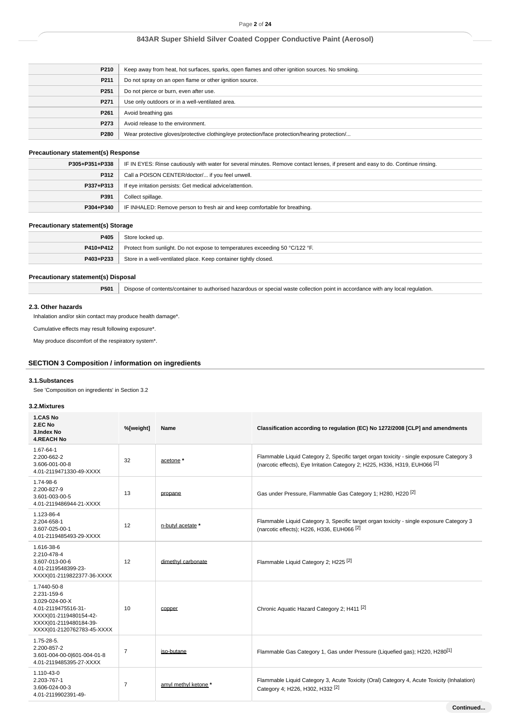| P210             | Keep away from heat, hot surfaces, sparks, open flames and other ignition sources. No smoking. |
|------------------|------------------------------------------------------------------------------------------------|
| P211             | Do not spray on an open flame or other ignition source.                                        |
| P <sub>251</sub> | Do not pierce or burn, even after use.                                                         |
| P271             | Use only outdoors or in a well-ventilated area.                                                |
| P261             | Avoid breathing gas                                                                            |
| P273             | Avoid release to the environment.                                                              |
| P280             | Wear protective gloves/protective clothing/eye protection/face protection/hearing protection/  |

# **Precautionary statement(s) Response**

| P305+P351+P338 | IF IN EYES: Rinse cautiously with water for several minutes. Remove contact lenses, if present and easy to do. Continue rinsing. |  |  |
|----------------|----------------------------------------------------------------------------------------------------------------------------------|--|--|
| <b>P312</b>    | Call a POISON CENTER/doctor/ if you feel unwell.                                                                                 |  |  |
| P337+P313      | If eye irritation persists: Get medical advice/attention.                                                                        |  |  |
| P391           | Collect spillage.                                                                                                                |  |  |
| P304+P340      | IF INHALED: Remove person to fresh air and keep comfortable for breathing.                                                       |  |  |

### **Precautionary statement(s) Storage**

| P405      | Store locked up.                                                             |  |
|-----------|------------------------------------------------------------------------------|--|
| P410+P412 | Protect from sunlight. Do not expose to temperatures exceeding 50 °C/122 °F. |  |
| P403+P233 | Store in a well-ventilated place. Keep container tightly closed.             |  |

# **Precautionary statement(s) Disposal**

**P501** Dispose of contents/container to authorised hazardous or special waste collection point in accordance with any local regulation.

# **2.3. Other hazards**

Inhalation and/or skin contact may produce health damage\*.

Cumulative effects may result following exposure\*.

May produce discomfort of the respiratory system\*.

# **SECTION 3 Composition / information on ingredients**

### **3.1.Substances**

See 'Composition on ingredients' in Section 3.2

### **3.2.Mixtures**

| 1.CAS No<br>2.EC No<br>3.Index No<br><b>4.REACH No</b>                                                                                                | %[weight]      | Name                 | Classification according to regulation (EC) No 1272/2008 [CLP] and amendments                                                                                                      |
|-------------------------------------------------------------------------------------------------------------------------------------------------------|----------------|----------------------|------------------------------------------------------------------------------------------------------------------------------------------------------------------------------------|
| 1.67-64-1<br>2.200-662-2<br>3.606-001-00-8<br>4.01-2119471330-49-XXXX                                                                                 | 32             | acetone *            | Flammable Liquid Category 2, Specific target organ toxicity - single exposure Category 3<br>(narcotic effects), Eye Irritation Category 2; H225, H336, H319, EUH066 <sup>[2]</sup> |
| 1.74-98-6<br>2.200-827-9<br>3.601-003-00-5<br>4.01-2119486944-21-XXXX                                                                                 | 13             | propane              | Gas under Pressure, Flammable Gas Category 1; H280, H220 <sup>[2]</sup>                                                                                                            |
| 1.123-86-4<br>2.204-658-1<br>3.607-025-00-1<br>4.01-2119485493-29-XXXX                                                                                | 12             | n-butyl acetate *    | Flammable Liquid Category 3, Specific target organ toxicity - single exposure Category 3<br>(narcotic effects); H226, H336, EUH066 <sup>[2]</sup>                                  |
| 1.616-38-6<br>2.210-478-4<br>3.607-013-00-6<br>4.01-2119548399-23-<br>XXXX 01-2119822377-36-XXXX                                                      | 12             | dimethyl carbonate   | Flammable Liquid Category 2; H225 <sup>[2]</sup>                                                                                                                                   |
| 1.7440-50-8<br>2.231-159-6<br>3.029-024-00-X<br>4.01-2119475516-31-<br>XXXX 01-2119480154-42-<br>XXXX 01-2119480184-39-<br>XXXX 01-2120762783-45-XXXX | 10             | copper               | Chronic Aquatic Hazard Category 2; H411 [2]                                                                                                                                        |
| 1.75-28-5.<br>2.200-857-2<br>3.601-004-00-0 601-004-01-8<br>4.01-2119485395-27-XXXX                                                                   | $\overline{7}$ | iso-butane           | Flammable Gas Category 1, Gas under Pressure (Liquefied gas); H220, H280 <sup>[1]</sup>                                                                                            |
| 1.110-43-0<br>2.203-767-1<br>3.606-024-00-3<br>4.01-2119902391-49-                                                                                    | $\overline{7}$ | amyl methyl ketone * | Flammable Liquid Category 3, Acute Toxicity (Oral) Category 4, Acute Toxicity (Inhalation)<br>Category 4; H226, H302, H332 <sup>[2]</sup>                                          |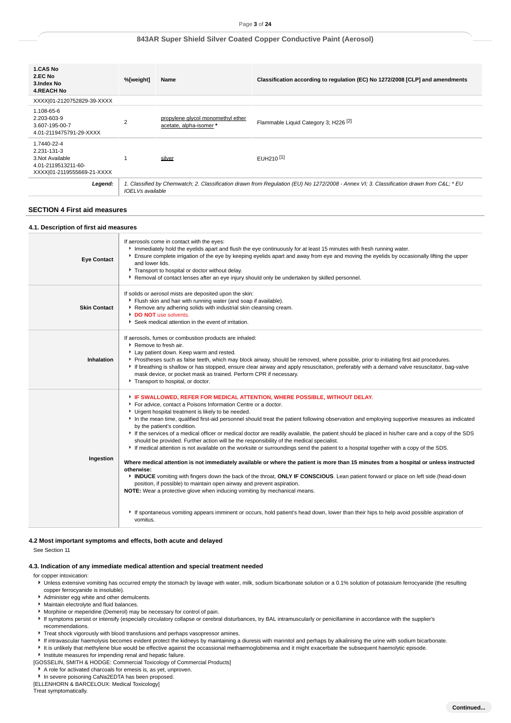| <b>1.CAS No</b><br>2.EC No<br>3.Index No<br><b>4.REACH No</b>                                       | %[weight]                                                                                                                                                          | Name                                                         | Classification according to regulation (EC) No 1272/2008 [CLP] and amendments |
|-----------------------------------------------------------------------------------------------------|--------------------------------------------------------------------------------------------------------------------------------------------------------------------|--------------------------------------------------------------|-------------------------------------------------------------------------------|
| XXXX 01-2120752829-39-XXXX                                                                          |                                                                                                                                                                    |                                                              |                                                                               |
| 1.108-65-6<br>2.203-603-9<br>3.607-195-00-7<br>4.01-2119475791-29-XXXX                              | $\overline{2}$                                                                                                                                                     | propylene givcol monomethyl ether<br>acetate, alpha-isomer * | Flammable Liquid Category 3; H226 <sup>[2]</sup>                              |
| 1.7440-22-4<br>2.231-131-3<br>3. Not Available<br>4.01-2119513211-60-<br>XXXX 01-2119555669-21-XXXX |                                                                                                                                                                    | silver                                                       | EUH210 <sup>[1]</sup>                                                         |
| Legend:                                                                                             | 1. Classified by Chemwatch; 2. Classification drawn from Requlation (EU) No 1272/2008 - Annex VI; 3. Classification drawn from C&L * EU<br><b>IOELVs</b> available |                                                              |                                                                               |

### **SECTION 4 First aid measures**

#### **4.1. Description of first aid measures**

| <b>Eye Contact</b>  | If aerosols come in contact with the eyes:<br>Immediately hold the eyelids apart and flush the eye continuously for at least 15 minutes with fresh running water.<br>Ensure complete irrigation of the eye by keeping eyelids apart and away from eye and moving the eyelids by occasionally lifting the upper<br>and lower lids.<br>Transport to hospital or doctor without delay.<br>▶ Removal of contact lenses after an eye injury should only be undertaken by skilled personnel.                                                                                                                                                                                                                                                                                                                                                                                                                                                                                                                                                                                                                                                                                                                                                                                                                                                                                                   |
|---------------------|------------------------------------------------------------------------------------------------------------------------------------------------------------------------------------------------------------------------------------------------------------------------------------------------------------------------------------------------------------------------------------------------------------------------------------------------------------------------------------------------------------------------------------------------------------------------------------------------------------------------------------------------------------------------------------------------------------------------------------------------------------------------------------------------------------------------------------------------------------------------------------------------------------------------------------------------------------------------------------------------------------------------------------------------------------------------------------------------------------------------------------------------------------------------------------------------------------------------------------------------------------------------------------------------------------------------------------------------------------------------------------------|
| <b>Skin Contact</b> | If solids or aerosol mists are deposited upon the skin:<br>Flush skin and hair with running water (and soap if available).<br>Remove any adhering solids with industrial skin cleansing cream.<br>DO NOT use solvents.<br>Seek medical attention in the event of irritation.                                                                                                                                                                                                                                                                                                                                                                                                                                                                                                                                                                                                                                                                                                                                                                                                                                                                                                                                                                                                                                                                                                             |
| Inhalation          | If aerosols, fumes or combustion products are inhaled:<br>▶ Remove to fresh air.<br>Lay patient down. Keep warm and rested.<br>▶ Prostheses such as false teeth, which may block airway, should be removed, where possible, prior to initiating first aid procedures.<br>If breathing is shallow or has stopped, ensure clear airway and apply resuscitation, preferably with a demand valve resuscitator, bag-valve<br>mask device, or pocket mask as trained. Perform CPR if necessary.<br>Transport to hospital, or doctor.                                                                                                                                                                                                                                                                                                                                                                                                                                                                                                                                                                                                                                                                                                                                                                                                                                                           |
| Ingestion           | FIF SWALLOWED, REFER FOR MEDICAL ATTENTION, WHERE POSSIBLE, WITHOUT DELAY.<br>For advice, contact a Poisons Information Centre or a doctor.<br>Urgent hospital treatment is likely to be needed.<br>In the mean time, qualified first-aid personnel should treat the patient following observation and employing supportive measures as indicated<br>by the patient's condition.<br>If the services of a medical officer or medical doctor are readily available, the patient should be placed in his/her care and a copy of the SDS<br>should be provided. Further action will be the responsibility of the medical specialist.<br>F If medical attention is not available on the worksite or surroundings send the patient to a hospital together with a copy of the SDS.<br>Where medical attention is not immediately available or where the patient is more than 15 minutes from a hospital or unless instructed<br>otherwise:<br>INDUCE vomiting with fingers down the back of the throat, ONLY IF CONSCIOUS. Lean patient forward or place on left side (head-down<br>position, if possible) to maintain open airway and prevent aspiration.<br>NOTE: Wear a protective glove when inducing vomiting by mechanical means.<br>If spontaneous vomiting appears imminent or occurs, hold patient's head down, lower than their hips to help avoid possible aspiration of<br>vomitus. |

### **4.2 Most important symptoms and effects, both acute and delayed**

See Section 11

### **4.3. Indication of any immediate medical attention and special treatment needed**

for copper intoxication:

- Unless extensive vomiting has occurred empty the stomach by lavage with water, milk, sodium bicarbonate solution or a 0.1% solution of potassium ferrocyanide (the resulting copper ferrocyanide is insoluble).
- Administer egg white and other demulcents.
- Maintain electrolyte and fluid balances.
- Morphine or meperidine (Demerol) may be necessary for control of pain.
- If symptoms persist or intensify (especially circulatory collapse or cerebral disturbances, try BAL intramuscularly or penicillamine in accordance with the supplier's recommendations.
- Treat shock vigorously with blood transfusions and perhaps vasopressor amines.
- If intravascular haemolysis becomes evident protect the kidneys by maintaining a diuresis with mannitol and perhaps by alkalinising the urine with sodium bicarbonate.
- It is unlikely that methylene blue would be effective against the occassional methaemoglobinemia and it might exacerbate the subsequent haemolytic episode.
- **Institute measures for impending renal and hepatic failure.**
- [GOSSELIN, SMITH & HODGE: Commercial Toxicology of Commercial Products]
- $\blacktriangleright$  A role for activated charcoals for emesis is, as yet, unproven.
- In severe poisoning CaNa2EDTA has been proposed.

[ELLENHORN & BARCELOUX: Medical Toxicology]

Treat symptomatically.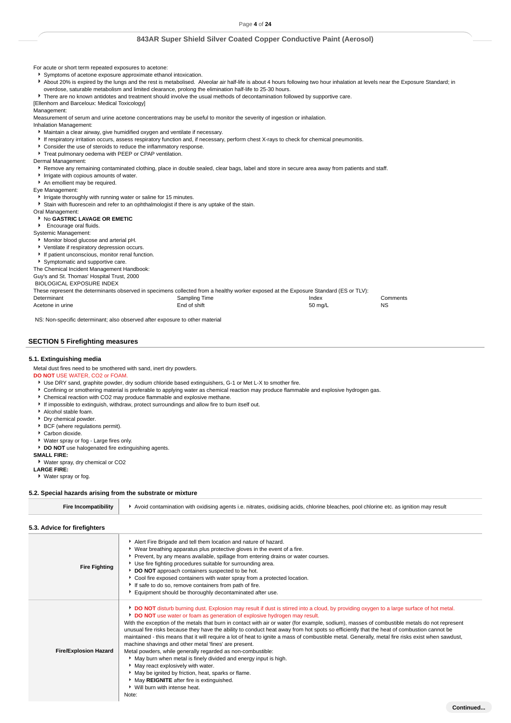For acute or short term repeated exposures to acetone:

- Symptoms of acetone exposure approximate ethanol intoxication.
- About 20% is expired by the lungs and the rest is metabolised. Alveolar air half-life is about 4 hours following two hour inhalation at levels near the Exposure Standard; in overdose, saturable metabolism and limited clearance, prolong the elimination half-life to 25-30 hours.
- 

There are no known antidotes and treatment should involve the usual methods of decontamination followed by supportive care. [Ellenhorn and Barceloux: Medical Toxicology]

### .<br>Management:

Measurement of serum and urine acetone concentrations may be useful to monitor the severity of ingestion or inhalation.

Inhalation Management:

- Maintain a clear airway, give humidified oxygen and ventilate if necessary.
- If respiratory irritation occurs, assess respiratory function and, if necessary, perform chest X-rays to check for chemical pneumonitis.
- Consider the use of steroids to reduce the inflammatory response.
- Treat pulmonary oedema with PEEP or CPAP ventilation.

Dermal Management:

- **F** Remove any remaining contaminated clothing, place in double sealed, clear bags, label and store in secure area away from patients and staff.
- Irrigate with copious amounts of water.
- An emollient may be required.

Eye Management:

I Irrigate thoroughly with running water or saline for 15 minutes.

Stain with fluorescein and refer to an ophthalmologist if there is any uptake of the stain.

#### Oral Management: **No GASTRIC LAVAGE OR EMETIC**

- **Encourage oral fluids.**
- Systemic Management:

Monitor blood glucose and arterial pH.

Ventilate if respiratory depression occurs.

If patient unconscious, monitor renal function.

Symptomatic and supportive care.

The Chemical Incident Management Handbook:

Guy's and St. Thomas' Hospital Trust, 2000

BIOLOGICAL EXPOSURE INDEX

These represent the determinants observed in specimens collected from a healthy worker exposed at the Exposure Standard (ES or TLV): Determinant Comments Comments Comments Sampling Time Comments Comments Comments Acetone in urine **Acetone in urine 1992** Channel End of shift **Figure 2003** Channel Acetone in urine 1996 NS

NS: Non-specific determinant; also observed after exposure to other material

### **SECTION 5 Firefighting measures**

#### **5.1. Extinguishing media**

Metal dust fires need to be smothered with sand, inert dry powders.

### **DO NOT** USE WATER, CO2 or FOAM.

Use DRY sand, graphite powder, dry sodium chloride based extinguishers, G-1 or Met L-X to smother fire.

Confining or smothering material is preferable to applying water as chemical reaction may produce flammable and explosive hydrogen gas.

- Chemical reaction with CO2 may produce flammable and explosive methane.
- If impossible to extinguish, withdraw, protect surroundings and allow fire to burn itself out.
- Alcohol stable foam.
- Dry chemical powder.
- **BCF** (where regulations permit).
- Carbon dioxide.
- Water spray or fog Large fires only.
- **DO NOT** use halogenated fire extinguishing agents.

**SMALL FIRE:**

Water spray, dry chemical or CO2

**LARGE FIRE:**

Water spray or fog.

### **5.2. Special hazards arising from the substrate or mixture**

| <b>Fire Incompatibility</b>  | Avoid contamination with oxidising agents i.e. nitrates, oxidising acids, chlorine bleaches, pool chlorine etc. as ignition may result                                                                                                                                                                                                                                                                                                                                                                                                                                                                                                                                                                                                                                                                                                                                                                                                                                                                                                             |
|------------------------------|----------------------------------------------------------------------------------------------------------------------------------------------------------------------------------------------------------------------------------------------------------------------------------------------------------------------------------------------------------------------------------------------------------------------------------------------------------------------------------------------------------------------------------------------------------------------------------------------------------------------------------------------------------------------------------------------------------------------------------------------------------------------------------------------------------------------------------------------------------------------------------------------------------------------------------------------------------------------------------------------------------------------------------------------------|
| 5.3. Advice for firefighters |                                                                                                                                                                                                                                                                                                                                                                                                                                                                                                                                                                                                                                                                                                                                                                                                                                                                                                                                                                                                                                                    |
| <b>Fire Fighting</b>         | Alert Fire Brigade and tell them location and nature of hazard.<br>▶ Wear breathing apparatus plus protective gloves in the event of a fire.<br>Prevent, by any means available, spillage from entering drains or water courses.<br>Use fire fighting procedures suitable for surrounding area.<br>DO NOT approach containers suspected to be hot.<br>Cool fire exposed containers with water spray from a protected location.<br>If safe to do so, remove containers from path of fire.<br>Equipment should be thoroughly decontaminated after use.                                                                                                                                                                                                                                                                                                                                                                                                                                                                                               |
| <b>Fire/Explosion Hazard</b> | DO NOT disturb burning dust. Explosion may result if dust is stirred into a cloud, by providing oxygen to a large surface of hot metal.<br>DO NOT use water or foam as generation of explosive hydrogen may result.<br>With the exception of the metals that burn in contact with air or water (for example, sodium), masses of combustible metals do not represent<br>unusual fire risks because they have the ability to conduct heat away from hot spots so efficiently that the heat of combustion cannot be<br>maintained - this means that it will require a lot of heat to ignite a mass of combustible metal. Generally, metal fire risks exist when sawdust,<br>machine shavings and other metal 'fines' are present.<br>Metal powders, while generally regarded as non-combustible:<br>May burn when metal is finely divided and energy input is high.<br>May react explosively with water.<br>May be ignited by friction, heat, sparks or flame.<br>May REIGNITE after fire is extinguished.<br>▶ Will burn with intense heat.<br>Note: |
|                              | Continued                                                                                                                                                                                                                                                                                                                                                                                                                                                                                                                                                                                                                                                                                                                                                                                                                                                                                                                                                                                                                                          |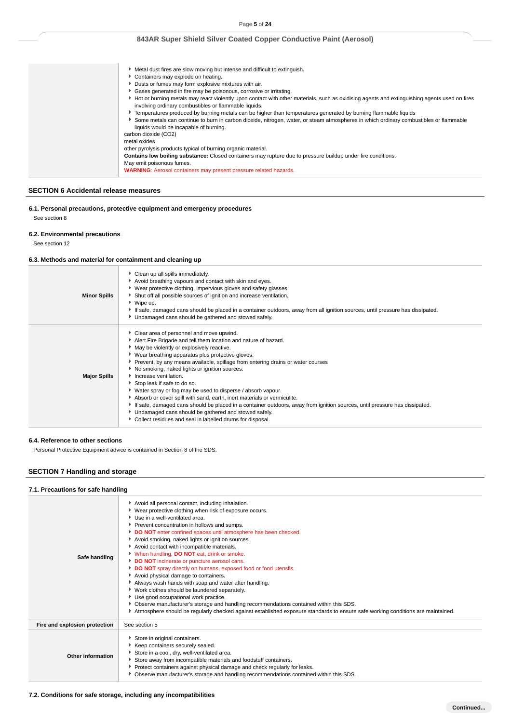| ► Metal dust fires are slow moving but intense and difficult to extinguish.                                                                                                                           |
|-------------------------------------------------------------------------------------------------------------------------------------------------------------------------------------------------------|
|                                                                                                                                                                                                       |
| Containers may explode on heating.                                                                                                                                                                    |
| Dusts or fumes may form explosive mixtures with air.                                                                                                                                                  |
| Gases generated in fire may be poisonous, corrosive or irritating.                                                                                                                                    |
| Hot or burning metals may react violently upon contact with other materials, such as oxidising agents and extinguishing agents used on fires<br>involving ordinary combustibles or flammable liquids. |
| Femperatures produced by burning metals can be higher than temperatures generated by burning flammable liquids                                                                                        |
| Some metals can continue to burn in carbon dioxide, nitrogen, water, or steam atmospheres in which ordinary combustibles or flammable<br>liquids would be incapable of burning.                       |
| carbon dioxide (CO2)                                                                                                                                                                                  |
| metal oxides                                                                                                                                                                                          |
| other pyrolysis products typical of burning organic material.                                                                                                                                         |
| Contains low boiling substance: Closed containers may rupture due to pressure buildup under fire conditions.                                                                                          |
| May emit poisonous fumes.                                                                                                                                                                             |
| <b>WARNING:</b> Aerosol containers may present pressure related hazards.                                                                                                                              |

### **SECTION 6 Accidental release measures**

# **6.1. Personal precautions, protective equipment and emergency procedures** See section 8

### **6.2. Environmental precautions**

See section 12

### **6.3. Methods and material for containment and cleaning up**

| <b>Minor Spills</b> | Clean up all spills immediately.<br>Avoid breathing vapours and contact with skin and eyes.<br>▶ Wear protective clothing, impervious gloves and safety glasses.<br>Shut off all possible sources of ignition and increase ventilation.<br>▶ Wipe up.<br>If safe, damaged cans should be placed in a container outdoors, away from all ignition sources, until pressure has dissipated.<br>• Undamaged cans should be gathered and stowed safely.                                                                                                                                                                                                                                                                                                                                                             |
|---------------------|---------------------------------------------------------------------------------------------------------------------------------------------------------------------------------------------------------------------------------------------------------------------------------------------------------------------------------------------------------------------------------------------------------------------------------------------------------------------------------------------------------------------------------------------------------------------------------------------------------------------------------------------------------------------------------------------------------------------------------------------------------------------------------------------------------------|
| <b>Major Spills</b> | Clear area of personnel and move upwind.<br>Alert Fire Brigade and tell them location and nature of hazard.<br>May be violently or explosively reactive.<br>▶ Wear breathing apparatus plus protective gloves.<br>• Prevent, by any means available, spillage from entering drains or water courses<br>No smoking, naked lights or ignition sources.<br>Increase ventilation.<br>Stop leak if safe to do so.<br>• Water spray or fog may be used to disperse / absorb vapour.<br>Absorb or cover spill with sand, earth, inert materials or vermiculite.<br>If safe, damaged cans should be placed in a container outdoors, away from ignition sources, until pressure has dissipated.<br>Undamaged cans should be gathered and stowed safely.<br>• Collect residues and seal in labelled drums for disposal. |

### **6.4. Reference to other sections**

Personal Protective Equipment advice is contained in Section 8 of the SDS.

# **SECTION 7 Handling and storage**

### **7.1. Precautions for safe handling**

| Safe handling                 | Avoid all personal contact, including inhalation.<br>▶ Wear protective clothing when risk of exposure occurs.<br>Use in a well-ventilated area.<br>Prevent concentration in hollows and sumps.<br>DO NOT enter confined spaces until atmosphere has been checked.<br>Avoid smoking, naked lights or ignition sources.<br>Avoid contact with incompatible materials.<br>When handling, DO NOT eat, drink or smoke.<br>DO NOT incinerate or puncture aerosol cans.<br>DO NOT spray directly on humans, exposed food or food utensils.<br>Avoid physical damage to containers.<br>Always wash hands with soap and water after handling.<br>V Work clothes should be laundered separately.<br>Use good occupational work practice.<br>• Observe manufacturer's storage and handling recommendations contained within this SDS.<br>Atmosphere should be regularly checked against established exposure standards to ensure safe working conditions are maintained. |
|-------------------------------|---------------------------------------------------------------------------------------------------------------------------------------------------------------------------------------------------------------------------------------------------------------------------------------------------------------------------------------------------------------------------------------------------------------------------------------------------------------------------------------------------------------------------------------------------------------------------------------------------------------------------------------------------------------------------------------------------------------------------------------------------------------------------------------------------------------------------------------------------------------------------------------------------------------------------------------------------------------|
| Fire and explosion protection | See section 5                                                                                                                                                                                                                                                                                                                                                                                                                                                                                                                                                                                                                                                                                                                                                                                                                                                                                                                                                 |
| Other information             | Store in original containers.<br>Keep containers securely sealed.<br>Store in a cool, dry, well-ventilated area.<br>Store away from incompatible materials and foodstuff containers.<br>Protect containers against physical damage and check regularly for leaks.<br>▶ Observe manufacturer's storage and handling recommendations contained within this SDS.                                                                                                                                                                                                                                                                                                                                                                                                                                                                                                                                                                                                 |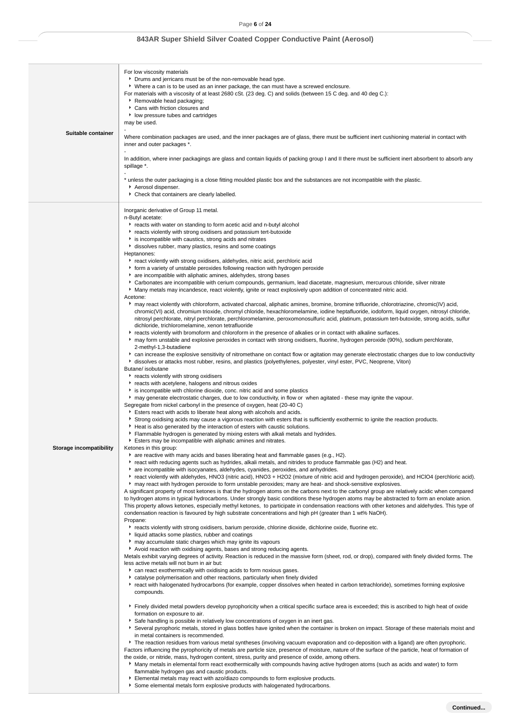| Suitable container      | For low viscosity materials<br>• Drums and jerricans must be of the non-removable head type.<br>▶ Where a can is to be used as an inner package, the can must have a screwed enclosure.<br>For materials with a viscosity of at least 2680 cSt. (23 deg. C) and solids (between 15 C deg. and 40 deg C.):<br>Removable head packaging;<br>Cans with friction closures and<br>I low pressure tubes and cartridges<br>may be used.<br>Where combination packages are used, and the inner packages are of glass, there must be sufficient inert cushioning material in contact with |
|-------------------------|----------------------------------------------------------------------------------------------------------------------------------------------------------------------------------------------------------------------------------------------------------------------------------------------------------------------------------------------------------------------------------------------------------------------------------------------------------------------------------------------------------------------------------------------------------------------------------|
|                         | inner and outer packages *.                                                                                                                                                                                                                                                                                                                                                                                                                                                                                                                                                      |
|                         | In addition, where inner packagings are glass and contain liquids of packing group I and II there must be sufficient inert absorbent to absorb any<br>spillage *.                                                                                                                                                                                                                                                                                                                                                                                                                |
|                         | * unless the outer packaging is a close fitting moulded plastic box and the substances are not incompatible with the plastic.                                                                                                                                                                                                                                                                                                                                                                                                                                                    |
|                         | Aerosol dispenser.<br>Check that containers are clearly labelled.                                                                                                                                                                                                                                                                                                                                                                                                                                                                                                                |
|                         | Inorganic derivative of Group 11 metal.                                                                                                                                                                                                                                                                                                                                                                                                                                                                                                                                          |
|                         | n-Butyl acetate:<br>reacts with water on standing to form acetic acid and n-butyl alcohol                                                                                                                                                                                                                                                                                                                                                                                                                                                                                        |
|                         | reacts violently with strong oxidisers and potassium tert-butoxide<br>is incompatible with caustics, strong acids and nitrates                                                                                                                                                                                                                                                                                                                                                                                                                                                   |
|                         | dissolves rubber, many plastics, resins and some coatings                                                                                                                                                                                                                                                                                                                                                                                                                                                                                                                        |
|                         | Heptanones:<br>react violently with strong oxidisers, aldehydes, nitric acid, perchloric acid                                                                                                                                                                                                                                                                                                                                                                                                                                                                                    |
|                         | • form a variety of unstable peroxides following reaction with hydrogen peroxide                                                                                                                                                                                                                                                                                                                                                                                                                                                                                                 |
|                         | are incompatible with aliphatic amines, aldehydes, strong bases<br>Carbonates are incompatible with cerium compounds, germanium, lead diacetate, magnesium, mercurous chloride, silver nitrate                                                                                                                                                                                                                                                                                                                                                                                   |
|                         | • Many metals may incandesce, react violently, ignite or react explosively upon addition of concentrated nitric acid.                                                                                                                                                                                                                                                                                                                                                                                                                                                            |
|                         | Acetone:<br>► may react violently with chloroform, activated charcoal, aliphatic amines, bromine, bromine trifluoride, chlorotriazine, chromic(IV) acid,<br>chromic(VI) acid, chromium trioxide, chromyl chloride, hexachloromelamine, iodine heptafluoride, iodoform, liquid oxygen, nitrosyl chloride,                                                                                                                                                                                                                                                                         |
|                         | nitrosyl perchlorate, nitryl perchlorate, perchloromelamine, peroxomonosulfuric acid, platinum, potassium tert-butoxide, strong acids, sulfur<br>dichloride, trichloromelamine, xenon tetrafluoride                                                                                                                                                                                                                                                                                                                                                                              |
|                         | F reacts violently with bromoform and chloroform in the presence of alkalies or in contact with alkaline surfaces.<br>► may form unstable and explosive peroxides in contact with strong oxidisers, fluorine, hydrogen peroxide (90%), sodium perchlorate,                                                                                                                                                                                                                                                                                                                       |
|                         | 2-methyl-1,3-butadiene                                                                                                                                                                                                                                                                                                                                                                                                                                                                                                                                                           |
|                         | • can increase the explosive sensitivity of nitromethane on contact flow or agitation may generate electrostatic charges due to low conductivity<br>If dissolves or attacks most rubber, resins, and plastics (polyethylenes, polyester, vinyl ester, PVC, Neoprene, Viton)                                                                                                                                                                                                                                                                                                      |
|                         | Butane/ isobutane                                                                                                                                                                                                                                                                                                                                                                                                                                                                                                                                                                |
|                         | reacts violently with strong oxidisers<br>reacts with acetylene, halogens and nitrous oxides                                                                                                                                                                                                                                                                                                                                                                                                                                                                                     |
|                         | is incompatible with chlorine dioxide, conc. nitric acid and some plastics                                                                                                                                                                                                                                                                                                                                                                                                                                                                                                       |
|                         | If may generate electrostatic charges, due to low conductivity, in flow or when agitated - these may ignite the vapour.                                                                                                                                                                                                                                                                                                                                                                                                                                                          |
|                         | Segregate from nickel carbonyl in the presence of oxygen, heat (20-40 C)<br>Esters react with acids to liberate heat along with alcohols and acids.                                                                                                                                                                                                                                                                                                                                                                                                                              |
|                         | Strong oxidising acids may cause a vigorous reaction with esters that is sufficiently exothermic to ignite the reaction products.                                                                                                                                                                                                                                                                                                                                                                                                                                                |
|                         | Heat is also generated by the interaction of esters with caustic solutions.<br>Flammable hydrogen is generated by mixing esters with alkali metals and hydrides.                                                                                                                                                                                                                                                                                                                                                                                                                 |
|                         | Esters may be incompatible with aliphatic amines and nitrates.                                                                                                                                                                                                                                                                                                                                                                                                                                                                                                                   |
| Storage incompatibility | Ketones in this group:<br>are reactive with many acids and bases liberating heat and flammable gases (e.g., H2).                                                                                                                                                                                                                                                                                                                                                                                                                                                                 |
|                         | ► react with reducing agents such as hydrides, alkali metals, and nitrides to produce flammable gas (H2) and heat.                                                                                                                                                                                                                                                                                                                                                                                                                                                               |
|                         | are incompatible with isocyanates, aldehydes, cyanides, peroxides, and anhydrides.<br>Freact violently with aldehydes, HNO3 (nitric acid), HNO3 + H2O2 (mixture of nitric acid and hydrogen peroxide), and HClO4 (perchloric acid).                                                                                                                                                                                                                                                                                                                                              |
|                         | may react with hydrogen peroxide to form unstable peroxides; many are heat- and shock-sensitive explosives.                                                                                                                                                                                                                                                                                                                                                                                                                                                                      |
|                         | A significant property of most ketones is that the hydrogen atoms on the carbons next to the carbonyl group are relatively acidic when compared<br>to hydrogen atoms in typical hydrocarbons. Under strongly basic conditions these hydrogen atoms may be abstracted to form an enolate anion.                                                                                                                                                                                                                                                                                   |
|                         | This property allows ketones, especially methyl ketones, to participate in condensation reactions with other ketones and aldehydes. This type of                                                                                                                                                                                                                                                                                                                                                                                                                                 |
|                         | condensation reaction is favoured by high substrate concentrations and high pH (greater than 1 wt% NaOH).<br>Propane:                                                                                                                                                                                                                                                                                                                                                                                                                                                            |
|                         | Freacts violently with strong oxidisers, barium peroxide, chlorine dioxide, dichlorine oxide, fluorine etc.                                                                                                                                                                                                                                                                                                                                                                                                                                                                      |
|                         | liquid attacks some plastics, rubber and coatings<br>may accumulate static charges which may ignite its vapours                                                                                                                                                                                                                                                                                                                                                                                                                                                                  |
|                         | Avoid reaction with oxidising agents, bases and strong reducing agents.                                                                                                                                                                                                                                                                                                                                                                                                                                                                                                          |
|                         | Metals exhibit varying degrees of activity. Reaction is reduced in the massive form (sheet, rod, or drop), compared with finely divided forms. The<br>less active metals will not burn in air but:                                                                                                                                                                                                                                                                                                                                                                               |
|                         | can react exothermically with oxidising acids to form noxious gases.                                                                                                                                                                                                                                                                                                                                                                                                                                                                                                             |
|                         | ► catalyse polymerisation and other reactions, particularly when finely divided<br>react with halogenated hydrocarbons (for example, copper dissolves when heated in carbon tetrachloride), sometimes forming explosive                                                                                                                                                                                                                                                                                                                                                          |
|                         | compounds.                                                                                                                                                                                                                                                                                                                                                                                                                                                                                                                                                                       |
|                         | Finely divided metal powders develop pyrophoricity when a critical specific surface area is exceeded; this is ascribed to high heat of oxide                                                                                                                                                                                                                                                                                                                                                                                                                                     |
|                         | formation on exposure to air.                                                                                                                                                                                                                                                                                                                                                                                                                                                                                                                                                    |
|                         | Safe handling is possible in relatively low concentrations of oxygen in an inert gas.<br>▶ Several pyrophoric metals, stored in glass bottles have ignited when the container is broken on impact. Storage of these materials moist and                                                                                                                                                                                                                                                                                                                                          |
|                         | in metal containers is recommended.                                                                                                                                                                                                                                                                                                                                                                                                                                                                                                                                              |
|                         | The reaction residues from various metal syntheses (involving vacuum evaporation and co-deposition with a ligand) are often pyrophoric.<br>Factors influencing the pyrophoricity of metals are particle size, presence of moisture, nature of the surface of the particle, heat of formation of                                                                                                                                                                                                                                                                                  |
|                         | the oxide, or nitride, mass, hydrogen content, stress, purity and presence of oxide, among others.                                                                                                                                                                                                                                                                                                                                                                                                                                                                               |
|                         | Many metals in elemental form react exothermically with compounds having active hydrogen atoms (such as acids and water) to form<br>flammable hydrogen gas and caustic products.                                                                                                                                                                                                                                                                                                                                                                                                 |
|                         | Elemental metals may react with azo/diazo compounds to form explosive products.                                                                                                                                                                                                                                                                                                                                                                                                                                                                                                  |
|                         | Some elemental metals form explosive products with halogenated hydrocarbons.                                                                                                                                                                                                                                                                                                                                                                                                                                                                                                     |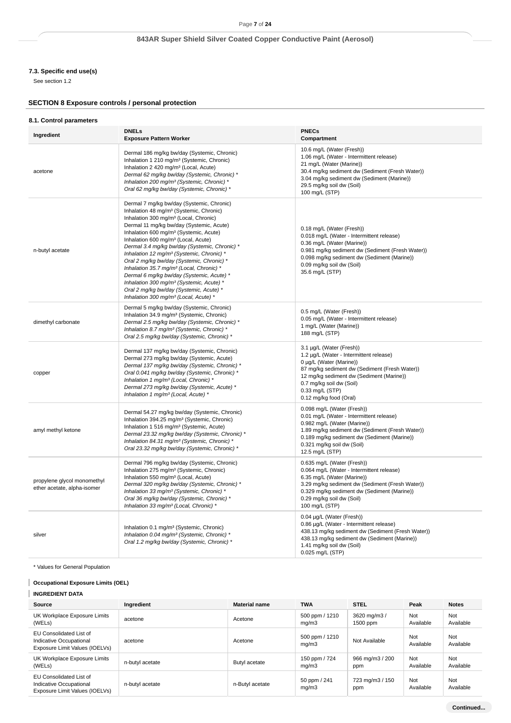# **7.3. Specific end use(s)**

See section 1.2

# **SECTION 8 Exposure controls / personal protection**

### **8.1. Control parameters**

| Ingredient                                                 | <b>DNELs</b><br><b>Exposure Pattern Worker</b>                                                                                                                                                                                                                                                                                                                                                                                                                                                                                                                                                                                                                                                                                 | <b>PNECs</b><br>Compartment                                                                                                                                                                                                                                          |
|------------------------------------------------------------|--------------------------------------------------------------------------------------------------------------------------------------------------------------------------------------------------------------------------------------------------------------------------------------------------------------------------------------------------------------------------------------------------------------------------------------------------------------------------------------------------------------------------------------------------------------------------------------------------------------------------------------------------------------------------------------------------------------------------------|----------------------------------------------------------------------------------------------------------------------------------------------------------------------------------------------------------------------------------------------------------------------|
| acetone                                                    | Dermal 186 mg/kg bw/day (Systemic, Chronic)<br>Inhalation 1 210 mg/m <sup>3</sup> (Systemic, Chronic)<br>Inhalation 2 420 mg/m <sup>3</sup> (Local, Acute)<br>Dermal 62 mg/kg bw/day (Systemic, Chronic) *<br>Inhalation 200 mg/m <sup>3</sup> (Systemic, Chronic) *<br>Oral 62 mg/kg bw/day (Systemic, Chronic) *                                                                                                                                                                                                                                                                                                                                                                                                             | 10.6 mg/L (Water (Fresh))<br>1.06 mg/L (Water - Intermittent release)<br>21 mg/L (Water (Marine))<br>30.4 mg/kg sediment dw (Sediment (Fresh Water))<br>3.04 mg/kg sediment dw (Sediment (Marine))<br>29.5 mg/kg soil dw (Soil)<br>100 mg/L (STP)                    |
| n-butyl acetate                                            | Dermal 7 mg/kg bw/day (Systemic, Chronic)<br>Inhalation 48 mg/m <sup>3</sup> (Systemic, Chronic)<br>Inhalation 300 mg/m <sup>3</sup> (Local, Chronic)<br>Dermal 11 mg/kg bw/day (Systemic, Acute)<br>Inhalation 600 mg/m <sup>3</sup> (Systemic, Acute)<br>Inhalation 600 mg/m <sup>3</sup> (Local, Acute)<br>Dermal 3.4 mg/kg bw/day (Systemic, Chronic) *<br>Inhalation 12 mg/m <sup>3</sup> (Systemic, Chronic) *<br>Oral 2 mg/kg bw/day (Systemic, Chronic) *<br>Inhalation 35.7 mg/m <sup>3</sup> (Local, Chronic) *<br>Dermal 6 mg/kg bw/day (Systemic, Acute) *<br>Inhalation 300 mg/m <sup>3</sup> (Systemic, Acute) *<br>Oral 2 mg/kg bw/day (Systemic, Acute) *<br>Inhalation 300 mg/m <sup>3</sup> (Local, Acute) * | 0.18 mg/L (Water (Fresh))<br>0.018 mg/L (Water - Intermittent release)<br>0.36 mg/L (Water (Marine))<br>0.981 mg/kg sediment dw (Sediment (Fresh Water))<br>0.098 mg/kg sediment dw (Sediment (Marine))<br>0.09 mg/kg soil dw (Soil)<br>35.6 mg/L (STP)              |
| dimethyl carbonate                                         | Dermal 5 mg/kg bw/day (Systemic, Chronic)<br>Inhalation 34.9 mg/m <sup>3</sup> (Systemic, Chronic)<br>Dermal 2.5 mg/kg bw/day (Systemic, Chronic) *<br>Inhalation 8.7 mg/m <sup>3</sup> (Systemic, Chronic) *<br>Oral 2.5 mg/kg bw/day (Systemic, Chronic) *                                                                                                                                                                                                                                                                                                                                                                                                                                                                   | 0.5 mg/L (Water (Fresh))<br>0.05 mg/L (Water - Intermittent release)<br>1 mg/L (Water (Marine))<br>188 mg/L (STP)                                                                                                                                                    |
| copper                                                     | Dermal 137 mg/kg bw/day (Systemic, Chronic)<br>Dermal 273 mg/kg bw/day (Systemic, Acute)<br>Dermal 137 mg/kg bw/day (Systemic, Chronic) *<br>Oral 0.041 mg/kg bw/day (Systemic, Chronic) *<br>Inhalation 1 mg/m <sup>3</sup> (Local, Chronic) *<br>Dermal 273 mg/kg bw/day (Systemic, Acute) *<br>Inhalation 1 mg/m <sup>3</sup> (Local, Acute) *                                                                                                                                                                                                                                                                                                                                                                              | 3.1 µg/L (Water (Fresh))<br>1.2 µg/L (Water - Intermittent release)<br>0 µg/L (Water (Marine))<br>87 mg/kg sediment dw (Sediment (Fresh Water))<br>12 mg/kg sediment dw (Sediment (Marine))<br>0.7 mg/kg soil dw (Soil)<br>0.33 mg/L (STP)<br>0.12 mg/kg food (Oral) |
| amyl methyl ketone                                         | Dermal 54.27 mg/kg bw/day (Systemic, Chronic)<br>Inhalation 394.25 mg/m <sup>3</sup> (Systemic, Chronic)<br>Inhalation 1 516 mg/m <sup>3</sup> (Systemic, Acute)<br>Dermal 23.32 mg/kg bw/day (Systemic, Chronic) *<br>Inhalation 84.31 mg/m <sup>3</sup> (Systemic, Chronic) *<br>Oral 23.32 mg/kg bw/day (Systemic, Chronic) *                                                                                                                                                                                                                                                                                                                                                                                               | 0.098 mg/L (Water (Fresh))<br>0.01 mg/L (Water - Intermittent release)<br>0.982 mg/L (Water (Marine))<br>1.89 mg/kg sediment dw (Sediment (Fresh Water))<br>0.189 mg/kg sediment dw (Sediment (Marine))<br>0.321 mg/kg soil dw (Soil)<br>12.5 mg/L (STP)             |
| propylene glycol monomethyl<br>ether acetate, alpha-isomer | Dermal 796 mg/kg bw/day (Systemic, Chronic)<br>Inhalation 275 mg/m <sup>3</sup> (Systemic, Chronic)<br>Inhalation 550 mg/m <sup>3</sup> (Local, Acute)<br>Dermal 320 mg/kg bw/day (Systemic, Chronic) *<br>Inhalation 33 mg/m <sup>3</sup> (Systemic, Chronic) *<br>Oral 36 mg/kg bw/day (Systemic, Chronic) *<br>Inhalation 33 mg/m <sup>3</sup> (Local, Chronic) *                                                                                                                                                                                                                                                                                                                                                           | 0.635 mg/L (Water (Fresh))<br>0.064 mg/L (Water - Intermittent release)<br>6.35 mg/L (Water (Marine))<br>3.29 mg/kg sediment dw (Sediment (Fresh Water))<br>0.329 mg/kg sediment dw (Sediment (Marine))<br>0.29 mg/kg soil dw (Soil)<br>100 mg/L (STP)               |
| silver                                                     | Inhalation 0.1 mg/m <sup>3</sup> (Systemic, Chronic)<br>Inhalation 0.04 mg/m <sup>3</sup> (Systemic, Chronic) *<br>Oral 1.2 mg/kg bw/day (Systemic, Chronic) *                                                                                                                                                                                                                                                                                                                                                                                                                                                                                                                                                                 | 0.04 µg/L (Water (Fresh))<br>0.86 µg/L (Water - Intermittent release)<br>438.13 mg/kg sediment dw (Sediment (Fresh Water))<br>438.13 mg/kg sediment dw (Sediment (Marine))<br>1.41 mg/kg soil dw (Soil)<br>0.025 mg/L (STP)                                          |

\* Values for General Population

# **Occupational Exposure Limits (OEL)**

**INGREDIENT DATA**

| Source                                                                               | Ingredient      | <b>Material name</b> | <b>TWA</b>              | <b>STEL</b>              | Peak             | <b>Notes</b>     |
|--------------------------------------------------------------------------------------|-----------------|----------------------|-------------------------|--------------------------|------------------|------------------|
| UK Workplace Exposure Limits<br>(WELs)                                               | acetone         | Acetone              | 500 ppm / 1210<br>mq/m3 | 3620 mg/m3 /<br>1500 ppm | Not<br>Available | Not<br>Available |
| EU Consolidated List of<br>Indicative Occupational<br>Exposure Limit Values (IOELVs) | acetone         | Acetone              | 500 ppm / 1210<br>mq/m3 | Not Available            | Not<br>Available | Not<br>Available |
| UK Workplace Exposure Limits<br>(WELs)                                               | n-butyl acetate | Butyl acetate        | 150 ppm / 724<br>mq/m3  | 966 mg/m3 / 200<br>ppm   | Not<br>Available | Not<br>Available |
| EU Consolidated List of<br>Indicative Occupational<br>Exposure Limit Values (IOELVs) | n-butyl acetate | n-Butyl acetate      | 50 ppm / 241<br>mq/m3   | 723 mg/m3 / 150<br>ppm   | Not<br>Available | Not<br>Available |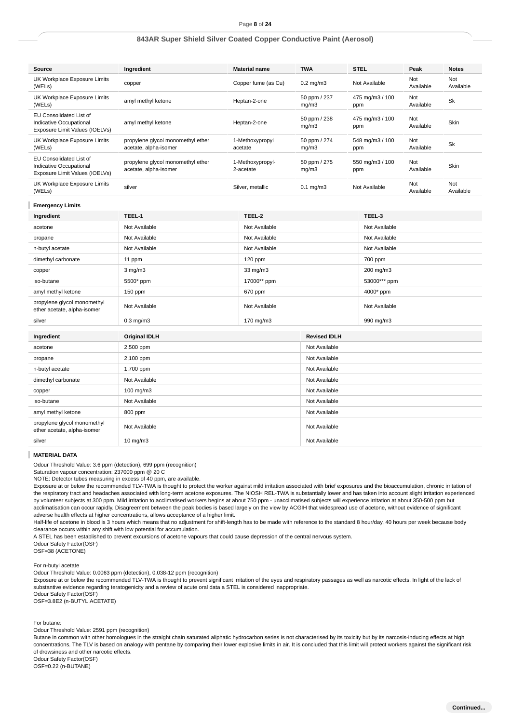### Page **8** of **24**

### **843AR Super Shield Silver Coated Copper Conductive Paint (Aerosol)**

| Source                                                                               | Ingredient                                                 |             | <b>Material name</b>          | <b>TWA</b>            |                        | <b>STEL</b>     | Peak             | <b>Notes</b>     |
|--------------------------------------------------------------------------------------|------------------------------------------------------------|-------------|-------------------------------|-----------------------|------------------------|-----------------|------------------|------------------|
| UK Workplace Exposure Limits<br>(WELs)                                               | copper                                                     |             | Copper fume (as Cu)           | $0.2$ mg/m $3$        |                        | Not Available   | Not<br>Available | Not<br>Available |
| UK Workplace Exposure Limits<br>(WELs)                                               | amyl methyl ketone                                         |             | Heptan-2-one                  | 50 ppm / 237<br>mg/m3 | ppm                    | 475 mg/m3 / 100 | Not<br>Available | <b>Sk</b>        |
| EU Consolidated List of<br>Indicative Occupational<br>Exposure Limit Values (IOELVs) | amyl methyl ketone                                         |             | Heptan-2-one                  | 50 ppm / 238<br>mg/m3 | ppm                    | 475 mg/m3 / 100 | Not<br>Available | Skin             |
| UK Workplace Exposure Limits<br>(WELs)                                               | propylene glycol monomethyl ether<br>acetate, alpha-isomer |             | 1-Methoxypropyl<br>acetate    | 50 ppm / 274<br>mg/m3 | 548 mg/m3 / 100<br>ppm |                 | Not<br>Available | Sk               |
| EU Consolidated List of<br>Indicative Occupational<br>Exposure Limit Values (IOELVs) | propylene glycol monomethyl ether<br>acetate, alpha-isomer |             | 1-Methoxypropyl-<br>2-acetate | 50 ppm / 275<br>mg/m3 | 550 mg/m3 / 100<br>ppm |                 | Not<br>Available | Skin             |
| UK Workplace Exposure Limits<br>(WELs)                                               | silver                                                     |             | Silver, metallic              | $0.1$ mg/m $3$        |                        | Not Available   | Not<br>Available | Not<br>Available |
| <b>Emergency Limits</b>                                                              |                                                            |             |                               |                       |                        |                 |                  |                  |
| Ingredient                                                                           | TEEL-1                                                     |             | TEEL-2                        |                       |                        | TEEL-3          |                  |                  |
| acetone                                                                              | Not Available                                              |             | Not Available                 |                       |                        | Not Available   |                  |                  |
| propane                                                                              | Not Available                                              |             | Not Available                 |                       |                        | Not Available   |                  |                  |
| n-butyl acetate                                                                      | Not Available                                              |             | Not Available                 |                       |                        | Not Available   |                  |                  |
| dimethyl carbonate                                                                   | 11 ppm                                                     |             | 120 ppm                       |                       | 700 ppm                |                 |                  |                  |
| copper                                                                               | $3$ mg/m $3$                                               | 33 mg/m3    |                               |                       |                        | 200 mg/m3       |                  |                  |
| iso-butane                                                                           | 5500* ppm                                                  | 17000** ppm |                               |                       |                        | 53000*** ppm    |                  |                  |
| amyl methyl ketone                                                                   | $150$ ppm                                                  | 670 ppm     |                               |                       |                        | 4000* ppm       |                  |                  |
| propylene glycol monomethyl<br>ether acetate, alpha-isomer                           | Not Available                                              |             | Not Available                 |                       | Not Available          |                 |                  |                  |
| silver                                                                               | $0.3$ mg/m $3$                                             |             | 170 mg/m3                     |                       | 990 mg/m3              |                 |                  |                  |
| Ingredient                                                                           | <b>Original IDLH</b>                                       |             |                               | <b>Revised IDLH</b>   |                        |                 |                  |                  |
| acetone                                                                              | 2,500 ppm                                                  |             |                               | Not Available         |                        |                 |                  |                  |
| propane                                                                              | 2,100 ppm                                                  |             | Not Available                 |                       |                        |                 |                  |                  |
| n-butyl acetate                                                                      | 1,700 ppm                                                  |             | Not Available                 |                       |                        |                 |                  |                  |
| dimethyl carbonate                                                                   | Not Available                                              |             | Not Available                 |                       |                        |                 |                  |                  |
| copper                                                                               | 100 mg/m3                                                  |             | Not Available                 |                       |                        |                 |                  |                  |
| iso-butane                                                                           | Not Available                                              |             | Not Available                 |                       |                        |                 |                  |                  |
| amyl methyl ketone                                                                   | 800 ppm                                                    |             |                               | Not Available         |                        |                 |                  |                  |
| propylene glycol monomethyl<br>ether acetate, alpha-isomer                           | Not Available                                              |             |                               | Not Available         |                        |                 |                  |                  |
| silver                                                                               | $10 \text{ mg/m}$                                          |             | Not Available                 |                       |                        |                 |                  |                  |

### **MATERIAL DATA**

Odour Threshold Value: 3.6 ppm (detection), 699 ppm (recognition)

Saturation vapour concentration: 237000 ppm @ 20 C

NOTE: Detector tubes measuring in excess of 40 ppm, are available.

Exposure at or below the recommended TLV-TWA is thought to protect the worker against mild irritation associated with brief exposures and the bioaccumulation, chronic irritation of the respiratory tract and headaches associated with long-term acetone exposures. The NIOSH REL-TWA is substantially lower and has taken into account slight irritation experienced by volunteer subjects at 300 ppm. Mild irritation to acclimatised workers begins at about 750 ppm - unacclimatised subjects will experience irritation at about 350-500 ppm but acclimatisation can occur rapidly. Disagreement between the peak bodies is based largely on the view by ACGIH that widespread use of acetone, without evidence of significant adverse health effects at higher concentrations, allows acceptance of a higher limit.

Half-life of acetone in blood is 3 hours which means that no adjustment for shift-length has to be made with reference to the standard 8 hour/day, 40 hours per week because body clearance occurs within any shift with low potential for accumulation.

A STEL has been established to prevent excursions of acetone vapours that could cause depression of the central nervous system.

Odour Safety Factor(OSF) OSF=38 (ACETONE)

For n-butyl acetate

Odour Threshold Value: 0.0063 ppm (detection), 0.038-12 ppm (recognition)

Exposure at or below the recommended TLV-TWA is thought to prevent significant irritation of the eyes and respiratory passages as well as narcotic effects. In light of the lack of substantive evidence regarding teratogenicity and a review of acute oral data a STEL is considered inappropriate.

Odour Safety Factor(OSF)

OSF=3.8E2 (n-BUTYL ACETATE)

#### For butane:

Odour Threshold Value: 2591 ppm (recognition)

Butane in common with other homologues in the straight chain saturated aliphatic hydrocarbon series is not characterised by its toxicity but by its narcosis-inducing effects at high concentrations. The TLV is based on analogy with pentane by comparing their lower explosive limits in air. It is concluded that this limit will protect workers against the significant risk of drowsiness and other narcotic effects.

Odour Safety Factor(OSF)

OSF=0.22 (n-BUTANE)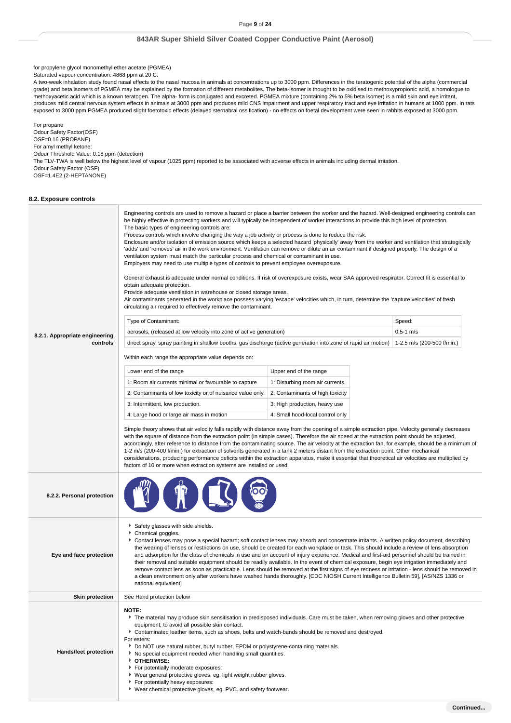for propylene glycol monomethyl ether acetate (PGMEA)

Saturated vapour concentration: 4868 ppm at 20 C.

A two-week inhalation study found nasal effects to the nasal mucosa in animals at concentrations up to 3000 ppm. Differences in the teratogenic potential of the alpha (commercial grade) and beta isomers of PGMEA may be explained by the formation of different metabolites. The beta-isomer is thought to be oxidised to methoxypropionic acid, a homologue to methoxyacetic acid which is a known teratogen. The alpha- form is conjugated and excreted. PGMEA mixture (containing 2% to 5% beta isomer) is a mild skin and eye irritant, produces mild central nervous system effects in animals at 3000 ppm and produces mild CNS impairment and upper respiratory tract and eye irritation in humans at 1000 ppm. In rats exposed to 3000 ppm PGMEA produced slight foetotoxic effects (delayed sternabral ossification) - no effects on foetal development were seen in rabbits exposed at 3000 ppm.

For propane Odour Safety Factor(OSF) OSF=0.16 (PROPANE) For amyl methyl ketone: Odour Threshold Value: 0.18 ppm (detection) The TLV-TWA is well below the highest level of vapour (1025 ppm) reported to be associated with adverse effects in animals including dermal irritation. Odour Safety Factor (OSF) OSF=1.4E2 (2-HEPTANONE)

### **8.2. Exposure controls**

|                                | Engineering controls are used to remove a hazard or place a barrier between the worker and the hazard. Well-designed engineering controls can<br>be highly effective in protecting workers and will typically be independent of worker interactions to provide this high level of protection.<br>The basic types of engineering controls are:<br>Process controls which involve changing the way a job activity or process is done to reduce the risk.<br>Enclosure and/or isolation of emission source which keeps a selected hazard 'physically' away from the worker and ventilation that strategically<br>'adds' and 'removes' air in the work environment. Ventilation can remove or dilute an air contaminant if designed properly. The design of a<br>ventilation system must match the particular process and chemical or contaminant in use.<br>Employers may need to use multiple types of controls to prevent employee overexposure.<br>General exhaust is adequate under normal conditions. If risk of overexposure exists, wear SAA approved respirator. Correct fit is essential to<br>obtain adequate protection.<br>Provide adequate ventilation in warehouse or closed storage areas.<br>Air contaminants generated in the workplace possess varying 'escape' velocities which, in turn, determine the 'capture velocities' of fresh<br>circulating air required to effectively remove the contaminant. |                                  |               |  |  |  |
|--------------------------------|--------------------------------------------------------------------------------------------------------------------------------------------------------------------------------------------------------------------------------------------------------------------------------------------------------------------------------------------------------------------------------------------------------------------------------------------------------------------------------------------------------------------------------------------------------------------------------------------------------------------------------------------------------------------------------------------------------------------------------------------------------------------------------------------------------------------------------------------------------------------------------------------------------------------------------------------------------------------------------------------------------------------------------------------------------------------------------------------------------------------------------------------------------------------------------------------------------------------------------------------------------------------------------------------------------------------------------------------------------------------------------------------------------------------------|----------------------------------|---------------|--|--|--|
|                                | Type of Contaminant:                                                                                                                                                                                                                                                                                                                                                                                                                                                                                                                                                                                                                                                                                                                                                                                                                                                                                                                                                                                                                                                                                                                                                                                                                                                                                                                                                                                                     |                                  | Speed:        |  |  |  |
| 8.2.1. Appropriate engineering | aerosols, (released at low velocity into zone of active generation)                                                                                                                                                                                                                                                                                                                                                                                                                                                                                                                                                                                                                                                                                                                                                                                                                                                                                                                                                                                                                                                                                                                                                                                                                                                                                                                                                      |                                  | $0.5 - 1$ m/s |  |  |  |
| controls                       | direct spray, spray painting in shallow booths, gas discharge (active generation into zone of rapid air motion)   1-2.5 m/s (200-500 f/min.)                                                                                                                                                                                                                                                                                                                                                                                                                                                                                                                                                                                                                                                                                                                                                                                                                                                                                                                                                                                                                                                                                                                                                                                                                                                                             |                                  |               |  |  |  |
|                                | Within each range the appropriate value depends on:                                                                                                                                                                                                                                                                                                                                                                                                                                                                                                                                                                                                                                                                                                                                                                                                                                                                                                                                                                                                                                                                                                                                                                                                                                                                                                                                                                      |                                  |               |  |  |  |
|                                | Lower end of the range                                                                                                                                                                                                                                                                                                                                                                                                                                                                                                                                                                                                                                                                                                                                                                                                                                                                                                                                                                                                                                                                                                                                                                                                                                                                                                                                                                                                   | Upper end of the range           |               |  |  |  |
|                                | 1: Room air currents minimal or favourable to capture                                                                                                                                                                                                                                                                                                                                                                                                                                                                                                                                                                                                                                                                                                                                                                                                                                                                                                                                                                                                                                                                                                                                                                                                                                                                                                                                                                    | 1: Disturbing room air currents  |               |  |  |  |
|                                | 2: Contaminants of low toxicity or of nuisance value only.                                                                                                                                                                                                                                                                                                                                                                                                                                                                                                                                                                                                                                                                                                                                                                                                                                                                                                                                                                                                                                                                                                                                                                                                                                                                                                                                                               | 2: Contaminants of high toxicity |               |  |  |  |
|                                | 3: Intermittent, low production.                                                                                                                                                                                                                                                                                                                                                                                                                                                                                                                                                                                                                                                                                                                                                                                                                                                                                                                                                                                                                                                                                                                                                                                                                                                                                                                                                                                         | 3: High production, heavy use    |               |  |  |  |
|                                | 4: Large hood or large air mass in motion                                                                                                                                                                                                                                                                                                                                                                                                                                                                                                                                                                                                                                                                                                                                                                                                                                                                                                                                                                                                                                                                                                                                                                                                                                                                                                                                                                                | 4: Small hood-local control only |               |  |  |  |
|                                | Simple theory shows that air velocity falls rapidly with distance away from the opening of a simple extraction pipe. Velocity generally decreases<br>with the square of distance from the extraction point (in simple cases). Therefore the air speed at the extraction point should be adjusted,<br>accordingly, after reference to distance from the contaminating source. The air velocity at the extraction fan, for example, should be a minimum of<br>1-2 m/s (200-400 f/min.) for extraction of solvents generated in a tank 2 meters distant from the extraction point. Other mechanical<br>considerations, producing performance deficits within the extraction apparatus, make it essential that theoretical air velocities are multiplied by<br>factors of 10 or more when extraction systems are installed or used.                                                                                                                                                                                                                                                                                                                                                                                                                                                                                                                                                                                          |                                  |               |  |  |  |
| 8.2.2. Personal protection     |                                                                                                                                                                                                                                                                                                                                                                                                                                                                                                                                                                                                                                                                                                                                                                                                                                                                                                                                                                                                                                                                                                                                                                                                                                                                                                                                                                                                                          |                                  |               |  |  |  |
| Eye and face protection        | Safety glasses with side shields.<br>Chemical goggles.<br>Contact lenses may pose a special hazard; soft contact lenses may absorb and concentrate irritants. A written policy document, describing<br>the wearing of lenses or restrictions on use, should be created for each workplace or task. This should include a review of lens absorption<br>and adsorption for the class of chemicals in use and an account of injury experience. Medical and first-aid personnel should be trained in<br>their removal and suitable equipment should be readily available. In the event of chemical exposure, begin eye irrigation immediately and<br>remove contact lens as soon as practicable. Lens should be removed at the first signs of eye redness or irritation - lens should be removed in<br>a clean environment only after workers have washed hands thoroughly. [CDC NIOSH Current Intelligence Bulletin 59], [AS/NZS 1336 or<br>national equivalent]                                                                                                                                                                                                                                                                                                                                                                                                                                                            |                                  |               |  |  |  |
| <b>Skin protection</b>         | See Hand protection below                                                                                                                                                                                                                                                                                                                                                                                                                                                                                                                                                                                                                                                                                                                                                                                                                                                                                                                                                                                                                                                                                                                                                                                                                                                                                                                                                                                                |                                  |               |  |  |  |
| Hands/feet protection          | NOTE:<br>The material may produce skin sensitisation in predisposed individuals. Care must be taken, when removing gloves and other protective<br>equipment, to avoid all possible skin contact.<br>Contaminated leather items, such as shoes, belts and watch-bands should be removed and destroyed.<br>For esters:<br>Do NOT use natural rubber, butyl rubber, EPDM or polystyrene-containing materials.<br>No special equipment needed when handling small quantities.<br>OTHERWISE:<br>For potentially moderate exposures:<br>▶ Wear general protective gloves, eg. light weight rubber gloves.<br>For potentially heavy exposures:<br>▶ Wear chemical protective gloves, eg. PVC. and safety footwear.                                                                                                                                                                                                                                                                                                                                                                                                                                                                                                                                                                                                                                                                                                              |                                  |               |  |  |  |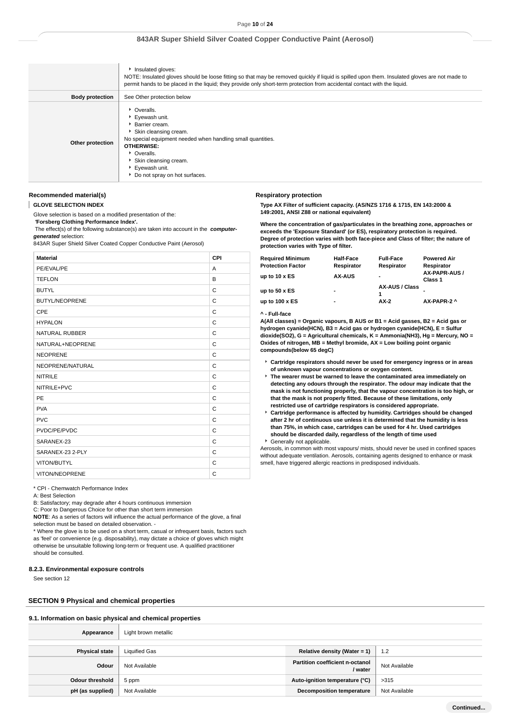|                        | Insulated gloves:<br>NOTE: Insulated gloves should be loose fitting so that may be removed quickly if liquid is spilled upon them. Insulated gloves are not made to<br>permit hands to be placed in the liquid; they provide only short-term protection from accidental contact with the liquid. |
|------------------------|--------------------------------------------------------------------------------------------------------------------------------------------------------------------------------------------------------------------------------------------------------------------------------------------------|
| <b>Body protection</b> | See Other protection below                                                                                                                                                                                                                                                                       |
| Other protection       | • Overalls.<br>Eyewash unit.<br>Barrier cream.<br>Skin cleansing cream.<br>No special equipment needed when handling small quantities.<br><b>OTHERWISE:</b><br>• Overalls.<br>Skin cleansing cream.<br>Eyewash unit.<br>Do not spray on hot surfaces.                                            |

### **Recommended material(s)**

ı **GLOVE SELECTION INDEX**

Glove selection is based on a modified presentation of the:

 **'Forsberg Clothing Performance Index'.**

 The effect(s) of the following substance(s) are taken into account in the **computergenerated** selection:

843AR Super Shield Silver Coated Copper Conductive Paint (Aerosol)

| <b>Material</b>       | CPI |
|-----------------------|-----|
| PE/EVAL/PE            | A   |
| <b>TEFLON</b>         | B   |
| <b>BUTYL</b>          | C   |
| <b>BUTYL/NEOPRENE</b> | C   |
| CPE                   | C   |
| <b>HYPALON</b>        | C   |
| <b>NATURAL RUBBER</b> | C   |
| NATURAL+NEOPRENE      | C   |
| <b>NEOPRENE</b>       | C   |
| NEOPRENE/NATURAL      | C   |
| <b>NITRILE</b>        | C   |
| NITRILE+PVC           | C   |
| PE                    | C   |
| <b>PVA</b>            | C   |
| <b>PVC</b>            | C   |
| PVDC/PE/PVDC          | C   |
| SARANEX-23            | C   |
| SARANEX-23 2-PLY      | C   |
| VITON/BUTYL           | C   |
| <b>VITON/NEOPRENE</b> | C   |

\* CPI - Chemwatch Performance Index

A: Best Selection

B: Satisfactory; may degrade after 4 hours continuous immersion

C: Poor to Dangerous Choice for other than short term immersion

**NOTE**: As a series of factors will influence the actual performance of the glove, a final selection must be based on detailed observation. -

\* Where the glove is to be used on a short term, casual or infrequent basis, factors such as 'feel' or convenience (e.g. disposability), may dictate a choice of gloves which might otherwise be unsuitable following long-term or frequent use. A qualified practitioner should be consulted.

#### **8.2.3. Environmental exposure controls**

See section 12

### **SECTION 9 Physical and chemical properties**

#### **9.1. Information on basic physical and chemical properties**

| Appearance             | Light brown metallic |                                            |               |
|------------------------|----------------------|--------------------------------------------|---------------|
|                        |                      |                                            |               |
| <b>Physical state</b>  | <b>Liquified Gas</b> | Relative density (Water = $1$ )            | 1.2           |
| Odour                  | Not Available        | Partition coefficient n-octanol<br>/ water | Not Available |
| <b>Odour threshold</b> | 5 ppm                | Auto-ignition temperature (°C)             | >315          |
| pH (as supplied)       | Not Available        | <b>Decomposition temperature</b>           | Not Available |
|                        |                      |                                            |               |

#### **Respiratory protection**

**Type AX Filter of sufficient capacity. (AS/NZS 1716 & 1715, EN 143:2000 & 149:2001, ANSI Z88 or national equivalent)**

**Where the concentration of gas/particulates in the breathing zone, approaches or exceeds the 'Exposure Standard' (or ES), respiratory protection is required. Degree of protection varies with both face-piece and Class of filter; the nature of protection varies with Type of filter.**

| Required Minimum<br><b>Protection Factor</b> | <b>Half-Face</b><br>Respirator | <b>Full-Face</b><br>Respirator | <b>Powered Air</b><br>Respirator |
|----------------------------------------------|--------------------------------|--------------------------------|----------------------------------|
| up to 10 x ES                                | <b>AX-AUS</b>                  | -                              | AX-PAPR-AUS /<br>Class 1         |
| up to 50 x ES                                | $\overline{\phantom{a}}$       | <b>AX-AUS / Class</b><br>1     |                                  |
| up to 100 x ES                               | $\blacksquare$                 | $AX-2$                         | AX-PAPR-2 ^                      |
|                                              |                                |                                |                                  |

#### **^ - Full-face**

**A(All classes) = Organic vapours, B AUS or B1 = Acid gasses, B2 = Acid gas or hydrogen cyanide(HCN), B3 = Acid gas or hydrogen cyanide(HCN), E = Sulfur dioxide(SO2), G = Agricultural chemicals, K = Ammonia(NH3), Hg = Mercury, NO = Oxides of nitrogen, MB = Methyl bromide, AX = Low boiling point organic compounds(below 65 degC)**

- **Cartridge respirators should never be used for emergency ingress or in areas of unknown vapour concentrations or oxygen content.**
- **The wearer must be warned to leave the contaminated area immediately on detecting any odours through the respirator. The odour may indicate that the mask is not functioning properly, that the vapour concentration is too high, or that the mask is not properly fitted. Because of these limitations, only restricted use of cartridge respirators is considered appropriate.**
- **Cartridge performance is affected by humidity. Cartridges should be changed after 2 hr of continuous use unless it is determined that the humidity is less than 75%, in which case, cartridges can be used for 4 hr. Used cartridges should be discarded daily, regardless of the length of time used** Generally not applicable.

Aerosols, in common with most vapours/ mists, should never be used in confined spaces without adequate ventilation. Aerosols, containing agents designed to enhance or mask smell, have triggered allergic reactions in predisposed individuals.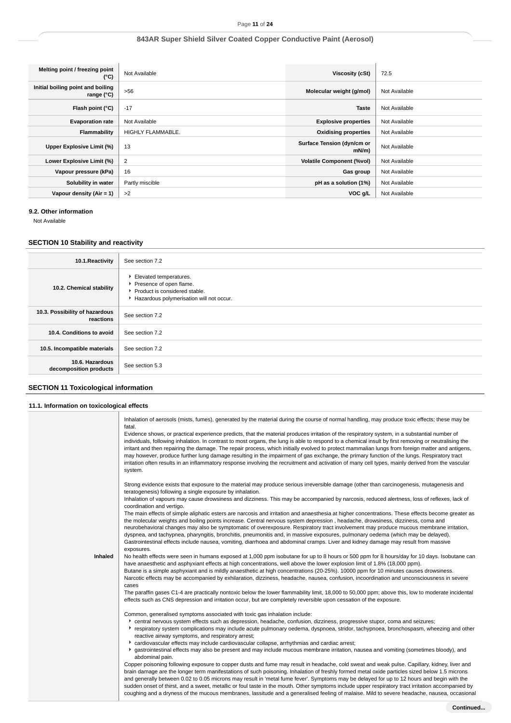| Melting point / freezing point<br>(°C)            | Not Available            | Viscosity (cSt)                    | 72.5          |
|---------------------------------------------------|--------------------------|------------------------------------|---------------|
| Initial boiling point and boiling<br>range $(°C)$ | >56                      | Molecular weight (g/mol)           | Not Available |
| Flash point (°C)                                  | $-17$                    | <b>Taste</b>                       | Not Available |
| <b>Evaporation rate</b>                           | Not Available            | <b>Explosive properties</b>        | Not Available |
| Flammability                                      | <b>HIGHLY FLAMMABLE.</b> | <b>Oxidising properties</b>        | Not Available |
| Upper Explosive Limit (%)                         | 13                       | Surface Tension (dyn/cm or<br>mN/m | Not Available |
| Lower Explosive Limit (%)                         | $\overline{2}$           | <b>Volatile Component (%vol)</b>   | Not Available |
| Vapour pressure (kPa)                             | 16                       | Gas group                          | Not Available |
| Solubility in water                               | Partly miscible          | pH as a solution (1%)              | Not Available |
| Vapour density $(Air = 1)$                        | >2                       | VOC g/L                            | Not Available |

# **9.2. Other information**

Not Available

# **SECTION 10 Stability and reactivity**

| 10.1. Reactivity                            | See section 7.2                                                                                                                  |
|---------------------------------------------|----------------------------------------------------------------------------------------------------------------------------------|
| 10.2. Chemical stability                    | Elevated temperatures.<br>Presence of open flame.<br>▶ Product is considered stable.<br>Hazardous polymerisation will not occur. |
| 10.3. Possibility of hazardous<br>reactions | See section 7.2                                                                                                                  |
| 10.4. Conditions to avoid                   | See section 7.2                                                                                                                  |
| 10.5. Incompatible materials                | See section 7.2                                                                                                                  |
| 10.6. Hazardous<br>decomposition products   | See section 5.3                                                                                                                  |

# **SECTION 11 Toxicological information**

| 11.1. Information on toxicological effects |                                                                                                                                                                                                                                                                                                                                                                                                                                                                                                                                                                                                                                                                                                                        |
|--------------------------------------------|------------------------------------------------------------------------------------------------------------------------------------------------------------------------------------------------------------------------------------------------------------------------------------------------------------------------------------------------------------------------------------------------------------------------------------------------------------------------------------------------------------------------------------------------------------------------------------------------------------------------------------------------------------------------------------------------------------------------|
|                                            | Inhalation of aerosols (mists, fumes), generated by the material during the course of normal handling, may produce toxic effects; these may be<br>fatal.<br>Evidence shows, or practical experience predicts, that the material produces irritation of the respiratory system, in a substantial number of<br>individuals, following inhalation. In contrast to most organs, the lung is able to respond to a chemical insult by first removing or neutralising the                                                                                                                                                                                                                                                     |
|                                            | irritant and then repairing the damage. The repair process, which initially evolved to protect mammalian lungs from foreign matter and antigens,<br>may however, produce further lung damage resulting in the impairment of gas exchange, the primary function of the lungs. Respiratory tract<br>irritation often results in an inflammatory response involving the recruitment and activation of many cell types, mainly derived from the vascular<br>system.                                                                                                                                                                                                                                                        |
|                                            | Strong evidence exists that exposure to the material may produce serious irreversible damage (other than carcinogenesis, mutagenesis and<br>teratogenesis) following a single exposure by inhalation.                                                                                                                                                                                                                                                                                                                                                                                                                                                                                                                  |
|                                            | Inhalation of vapours may cause drowsiness and dizziness. This may be accompanied by narcosis, reduced alertness, loss of reflexes, lack of<br>coordination and vertigo.                                                                                                                                                                                                                                                                                                                                                                                                                                                                                                                                               |
|                                            | The main effects of simple aliphatic esters are narcosis and irritation and anaesthesia at higher concentrations. These effects become greater as<br>the molecular weights and boiling points increase. Central nervous system depression, headache, drowsiness, dizziness, coma and<br>neurobehavioral changes may also be symptomatic of overexposure. Respiratory tract involvement may produce mucous membrane irritation,<br>dyspnea, and tachypnea, pharyngitis, bronchitis, pneumonitis and, in massive exposures, pulmonary oedema (which may be delayed).<br>Gastrointestinal effects include nausea, vomiting, diarrhoea and abdominal cramps. Liver and kidney damage may result from massive<br>exposures. |
| Inhaled                                    | No health effects were seen in humans exposed at 1,000 ppm isobutane for up to 8 hours or 500 ppm for 8 hours/day for 10 days. Isobutane can<br>have anaesthetic and asphyxiant effects at high concentrations, well above the lower explosion limit of 1.8% (18,000 ppm).<br>Butane is a simple asphyxiant and is mildly anaesthetic at high concentrations (20-25%). 10000 ppm for 10 minutes causes drowsiness.<br>Narcotic effects may be accompanied by exhilaration, dizziness, headache, nausea, confusion, incoordination and unconsciousness in severe<br>cases                                                                                                                                               |
|                                            | The paraffin gases C1-4 are practically nontoxic below the lower flammability limit, 18,000 to 50,000 ppm; above this, low to moderate incidental<br>effects such as CNS depression and irritation occur, but are completely reversible upon cessation of the exposure.                                                                                                                                                                                                                                                                                                                                                                                                                                                |
|                                            | Common, generalised symptoms associated with toxic gas inhalation include:<br>• central nervous system effects such as depression, headache, confusion, dizziness, progressive stupor, coma and seizures;<br>respiratory system complications may include acute pulmonary oedema, dyspnoea, stridor, tachypnoea, bronchospasm, wheezing and other<br>reactive airway symptoms, and respiratory arrest;<br>• cardiovascular effects may include cardiovascular collapse, arrhythmias and cardiac arrest;                                                                                                                                                                                                                |
|                                            | * gastrointestinal effects may also be present and may include mucous membrane irritation, nausea and vomiting (sometimes bloody), and<br>abdominal pain.                                                                                                                                                                                                                                                                                                                                                                                                                                                                                                                                                              |
|                                            | Copper poisoning following exposure to copper dusts and fume may result in headache, cold sweat and weak pulse. Capillary, kidney, liver and<br>brain damage are the longer term manifestations of such poisoning. Inhalation of freshly formed metal oxide particles sized below 1.5 microns<br>and generally between 0.02 to 0.05 microns may result in 'metal fume fever'. Symptoms may be delayed for up to 12 hours and begin with the                                                                                                                                                                                                                                                                            |
|                                            | sudden onset of thirst, and a sweet, metallic or foul taste in the mouth. Other symptoms include upper respiratory tract irritation accompanied by<br>coughing and a dryness of the mucous membranes, lassitude and a generalised feeling of malaise. Mild to severe headache, nausea, occasional                                                                                                                                                                                                                                                                                                                                                                                                                      |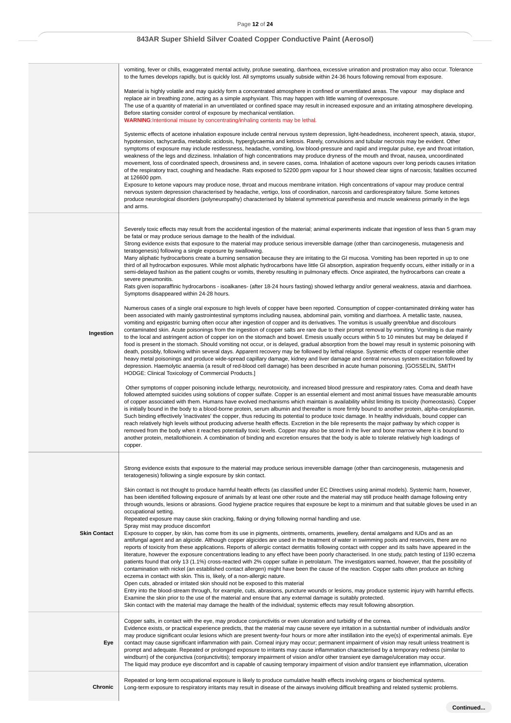|                     | vomiting, fever or chills, exaggerated mental activity, profuse sweating, diarrhoea, excessive urination and prostration may also occur. Tolerance<br>to the fumes develops rapidly, but is quickly lost. All symptoms usually subside within 24-36 hours following removal from exposure.                                                                                                                                                                                                                                                                                                                                                                                                                                                                                                                                                                                                                                                                                                                                                                                                                                                                                                                                                                                                                                                                                                                                                                       |
|---------------------|------------------------------------------------------------------------------------------------------------------------------------------------------------------------------------------------------------------------------------------------------------------------------------------------------------------------------------------------------------------------------------------------------------------------------------------------------------------------------------------------------------------------------------------------------------------------------------------------------------------------------------------------------------------------------------------------------------------------------------------------------------------------------------------------------------------------------------------------------------------------------------------------------------------------------------------------------------------------------------------------------------------------------------------------------------------------------------------------------------------------------------------------------------------------------------------------------------------------------------------------------------------------------------------------------------------------------------------------------------------------------------------------------------------------------------------------------------------|
|                     | Material is highly volatile and may quickly form a concentrated atmosphere in confined or unventilated areas. The vapour may displace and<br>replace air in breathing zone, acting as a simple asphyxiant. This may happen with little warning of overexposure.<br>The use of a quantity of material in an unventilated or confined space may result in increased exposure and an irritating atmosphere developing.<br>Before starting consider control of exposure by mechanical ventilation.<br>WARNING: Intentional misuse by concentrating/inhaling contents may be lethal.                                                                                                                                                                                                                                                                                                                                                                                                                                                                                                                                                                                                                                                                                                                                                                                                                                                                                  |
|                     | Systemic effects of acetone inhalation exposure include central nervous system depression, light-headedness, incoherent speech, ataxia, stupor,<br>hypotension, tachycardia, metabolic acidosis, hyperglycaemia and ketosis. Rarely, convulsions and tubular necrosis may be evident. Other<br>symptoms of exposure may include restlessness, headache, vomiting, low blood-pressure and rapid and irregular pulse, eye and throat irritation,<br>weakness of the legs and dizziness. Inhalation of high concentrations may produce dryness of the mouth and throat, nausea, uncoordinated<br>movement, loss of coordinated speech, drowsiness and, in severe cases, coma. Inhalation of acetone vapours over long periods causes irritation<br>of the respiratory tract, coughing and headache. Rats exposed to 52200 ppm vapour for 1 hour showed clear signs of narcosis; fatalities occurred<br>at 126600 ppm.<br>Exposure to ketone vapours may produce nose, throat and mucous membrane irritation. High concentrations of vapour may produce central<br>nervous system depression characterised by headache, vertigo, loss of coordination, narcosis and cardiorespiratory failure. Some ketones<br>produce neurological disorders (polyneuropathy) characterised by bilateral symmetrical paresthesia and muscle weakness primarily in the legs<br>and arms.                                                                                             |
|                     | Severely toxic effects may result from the accidental ingestion of the material; animal experiments indicate that ingestion of less than 5 gram may<br>be fatal or may produce serious damage to the health of the individual.<br>Strong evidence exists that exposure to the material may produce serious irreversible damage (other than carcinogenesis, mutagenesis and<br>teratogenesis) following a single exposure by swallowing.<br>Many aliphatic hydrocarbons create a burning sensation because they are irritating to the GI mucosa. Vomiting has been reported in up to one<br>third of all hydrocarbon exposures. While most aliphatic hydrocarbons have little GI absorption, aspiration frequently occurs, either initially or in a<br>semi-delayed fashion as the patient coughs or vomits, thereby resulting in pulmonary effects. Once aspirated, the hydrocarbons can create a<br>severe pneumonitis.<br>Rats given isoparaffinic hydrocarbons - isoalkanes- (after 18-24 hours fasting) showed lethargy and/or general weakness, ataxia and diarrhoea.<br>Symptoms disappeared within 24-28 hours.                                                                                                                                                                                                                                                                                                                                           |
| Ingestion           | Numerous cases of a single oral exposure to high levels of copper have been reported. Consumption of copper-contaminated drinking water has<br>been associated with mainly gastrointestinal symptoms including nausea, abdominal pain, vomiting and diarrhoea. A metallic taste, nausea,<br>vomiting and epigastric burning often occur after ingestion of copper and its derivatives. The vomitus is usually green/blue and discolours<br>contaminated skin. Acute poisonings from the ingestion of copper salts are rare due to their prompt removal by vomiting. Vomiting is due mainly<br>to the local and astringent action of copper ion on the stomach and bowel. Emesis usually occurs within 5 to 10 minutes but may be delayed if<br>food is present in the stomach. Should vomiting not occur, or is delayed, gradual absorption from the bowel may result in systemic poisoning with<br>death, possibly, following within several days. Apparent recovery may be followed by lethal relapse. Systemic effects of copper resemble other<br>heavy metal poisonings and produce wide-spread capillary damage, kidney and liver damage and central nervous system excitation followed by<br>depression. Haemolytic anaemia (a result of red-blood cell damage) has been described in acute human poisoning. [GOSSELIN, SMITH<br>HODGE: Clinical Toxicology of Commercial Products.]                                                                      |
|                     | Other symptoms of copper poisoning include lethargy, neurotoxicity, and increased blood pressure and respiratory rates. Coma and death have<br>followed attempted suicides using solutions of copper sulfate. Copper is an essential element and most animal tissues have measurable amounts<br>of copper associated with them. Humans have evolved mechanisms which maintain is availability whilst limiting its toxicity (homeostasis). Copper<br>is initially bound in the body to a blood-borne protein, serum albumin and thereafter is more firmly bound to another protein, alpha-ceruloplasmin.<br>Such binding effectively 'inactivates' the copper, thus reducing its potential to produce toxic damage. In healthy individuals, bound copper can<br>reach relatively high levels without producing adverse health effects. Excretion in the bile represents the major pathway by which copper is<br>removed from the body when it reaches potentially toxic levels. Copper may also be stored in the liver and bone marrow where it is bound to<br>another protein, metallothionein. A combination of binding and excretion ensures that the body is able to tolerate relatively high loadings of<br>copper.                                                                                                                                                                                                                                          |
|                     | Strong evidence exists that exposure to the material may produce serious irreversible damage (other than carcinogenesis, mutagenesis and<br>teratogenesis) following a single exposure by skin contact.                                                                                                                                                                                                                                                                                                                                                                                                                                                                                                                                                                                                                                                                                                                                                                                                                                                                                                                                                                                                                                                                                                                                                                                                                                                          |
|                     | Skin contact is not thought to produce harmful health effects (as classified under EC Directives using animal models). Systemic harm, however,<br>has been identified following exposure of animals by at least one other route and the material may still produce health damage following entry<br>through wounds, lesions or abrasions. Good hygiene practice requires that exposure be kept to a minimum and that suitable gloves be used in an<br>occupational setting.<br>Repeated exposure may cause skin cracking, flaking or drying following normal handling and use.<br>Spray mist may produce discomfort                                                                                                                                                                                                                                                                                                                                                                                                                                                                                                                                                                                                                                                                                                                                                                                                                                              |
| <b>Skin Contact</b> | Exposure to copper, by skin, has come from its use in pigments, ointments, ornaments, jewellery, dental amalgams and IUDs and as an<br>antifungal agent and an algicide. Although copper algicides are used in the treatment of water in swimming pools and reservoirs, there are no<br>reports of toxicity from these applications. Reports of allergic contact dermatitis following contact with copper and its salts have appeared in the<br>literature, however the exposure concentrations leading to any effect have been poorly characterised. In one study, patch testing of 1190 eczema<br>patients found that only 13 (1.1%) cross-reacted with 2% copper sulfate in petrolatum. The investigators warned, however, that the possibility of<br>contamination with nickel (an established contact allergen) might have been the cause of the reaction. Copper salts often produce an itching<br>eczema in contact with skin. This is, likely, of a non-allergic nature.<br>Open cuts, abraded or irritated skin should not be exposed to this material<br>Entry into the blood-stream through, for example, cuts, abrasions, puncture wounds or lesions, may produce systemic injury with harmful effects.<br>Examine the skin prior to the use of the material and ensure that any external damage is suitably protected.<br>Skin contact with the material may damage the health of the individual; systemic effects may result following absorption. |
| Eye                 | Copper salts, in contact with the eye, may produce conjunctivitis or even ulceration and turbidity of the cornea.<br>Evidence exists, or practical experience predicts, that the material may cause severe eye irritation in a substantial number of individuals and/or<br>may produce significant ocular lesions which are present twenty-four hours or more after instillation into the eye(s) of experimental animals. Eye<br>contact may cause significant inflammation with pain. Corneal injury may occur; permanent impairment of vision may result unless treatment is<br>prompt and adequate. Repeated or prolonged exposure to irritants may cause inflammation characterised by a temporary redness (similar to<br>windburn) of the conjunctiva (conjunctivitis); temporary impairment of vision and/or other transient eye damage/ulceration may occur.<br>The liquid may produce eye discomfort and is capable of causing temporary impairment of vision and/or transient eye inflammation, ulceration                                                                                                                                                                                                                                                                                                                                                                                                                                              |
|                     | Repeated or long-term occupational exposure is likely to produce cumulative health effects involving organs or biochemical systems.                                                                                                                                                                                                                                                                                                                                                                                                                                                                                                                                                                                                                                                                                                                                                                                                                                                                                                                                                                                                                                                                                                                                                                                                                                                                                                                              |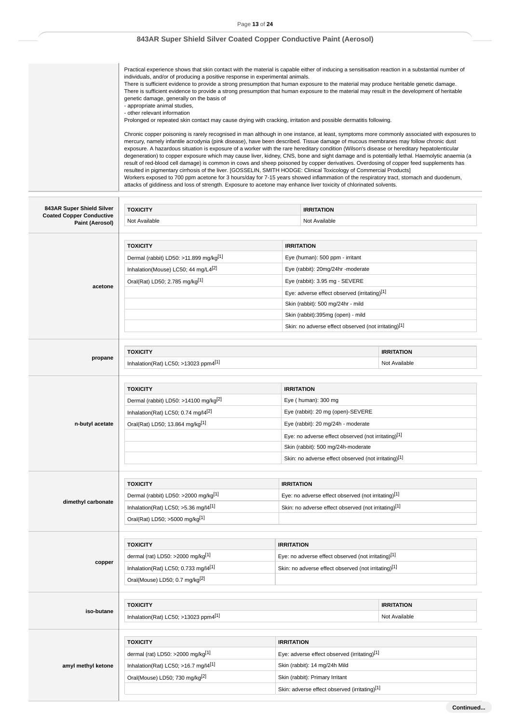Page **13** of **24**

# **843AR Super Shield Silver Coated Copper Conductive Paint (Aerosol)**

Practical experience shows that skin contact with the material is capable either of inducing a sensitisation reaction in a substantial number of individuals, and/or of producing a positive response in experimental animals. There is sufficient evidence to provide a strong presumption that human exposure to the material may produce heritable genetic damage. There is sufficient evidence to provide a strong presumption that human exposure to the material may result in the development of heritable genetic damage, generally on the basis of - appropriate animal studies, - other relevant information Prolonged or repeated skin contact may cause drying with cracking, irritation and possible dermatitis following. Chronic copper poisoning is rarely recognised in man although in one instance, at least, symptoms more commonly associated with exposures to mercury, namely infantile acrodynia (pink disease), have been described. Tissue damage of mucous membranes may follow chronic dust exposure. A hazardous situation is exposure of a worker with the rare hereditary condition (Wilson's disease or hereditary hepatolenticular degeneration) to copper exposure which may cause liver, kidney, CNS, bone and sight damage and is potentially lethal. Haemolytic anaemia (a result of red-blood cell damage) is common in cows and sheep poisoned by copper derivatives. Overdosing of copper feed supplements has resulted in pigmentary cirrhosis of the liver. [GOSSELIN, SMITH HODGE: Clinical Toxicology of Commercial Products] Workers exposed to 700 ppm acetone for 3 hours/day for 7-15 years showed inflammation of the respiratory tract, stomach and duodenum, attacks of giddiness and loss of strength. Exposure to acetone may enhance liver toxicity of chlorinated solvents.

| 843AR Super Shield Silver                          | <b>TOXICITY</b>                                   | <b>IRRITATION</b>                                    |                   |
|----------------------------------------------------|---------------------------------------------------|------------------------------------------------------|-------------------|
| <b>Coated Copper Conductive</b><br>Paint (Aerosol) | Not Available<br>Not Available                    |                                                      |                   |
|                                                    |                                                   |                                                      |                   |
|                                                    | <b>TOXICITY</b>                                   | <b>IRRITATION</b>                                    |                   |
|                                                    | Dermal (rabbit) LD50: >11.899 mg/kg[1]            | Eye (human): 500 ppm - irritant                      |                   |
|                                                    | Inhalation(Mouse) LC50; 44 mg/L4 <sup>[2]</sup>   | Eye (rabbit): 20mg/24hr -moderate                    |                   |
|                                                    | Oral(Rat) LD50; 2.785 mg/kg[1]                    | Eye (rabbit): 3.95 mg - SEVERE                       |                   |
| acetone                                            |                                                   | Eye: adverse effect observed (irritating)[1]         |                   |
|                                                    |                                                   | Skin (rabbit): 500 mg/24hr - mild                    |                   |
|                                                    |                                                   | Skin (rabbit):395mg (open) - mild                    |                   |
|                                                    |                                                   | Skin: no adverse effect observed (not irritating)[1] |                   |
|                                                    |                                                   |                                                      |                   |
| propane                                            | <b>TOXICITY</b>                                   |                                                      | <b>IRRITATION</b> |
|                                                    | Inhalation(Rat) LC50; >13023 ppm4[1]              |                                                      | Not Available     |
|                                                    |                                                   |                                                      |                   |
|                                                    | <b>TOXICITY</b>                                   | <b>IRRITATION</b>                                    |                   |
|                                                    | Dermal (rabbit) LD50: >14100 mg/kg <sup>[2]</sup> | Eye (human): 300 mg                                  |                   |
|                                                    | Inhalation(Rat) LC50; 0.74 mg/l4 <sup>[2]</sup>   | Eye (rabbit): 20 mg (open)-SEVERE                    |                   |
| n-butyl acetate                                    | Oral(Rat) LD50; 13.864 mg/kg[1]                   | Eye (rabbit): 20 mg/24h - moderate                   |                   |
|                                                    |                                                   | Eye: no adverse effect observed (not irritating)[1]  |                   |
|                                                    |                                                   | Skin (rabbit): 500 mg/24h-moderate                   |                   |
|                                                    |                                                   | Skin: no adverse effect observed (not irritating)[1] |                   |
|                                                    | <b>TOXICITY</b>                                   | <b>IRRITATION</b>                                    |                   |
|                                                    | Dermal (rabbit) LD50: >2000 mg/kg[1]              | Eye: no adverse effect observed (not irritating)[1]  |                   |
| dimethyl carbonate                                 | Inhalation(Rat) LC50; >5.36 mg/l4[1]              | Skin: no adverse effect observed (not irritating)[1] |                   |
|                                                    | Oral(Rat) LD50; >5000 mg/kg <sup>[1]</sup>        |                                                      |                   |
|                                                    |                                                   |                                                      |                   |
|                                                    | <b>TOXICITY</b>                                   | <b>IRRITATION</b>                                    |                   |
|                                                    | dermal (rat) LD50: >2000 mg/kg <sup>[1]</sup>     | Eye: no adverse effect observed (not irritating)[1]  |                   |
| copper                                             | Inhalation(Rat) LC50; 0.733 mg/ $[4[1]]$          | Skin: no adverse effect observed (not irritating)[1] |                   |
|                                                    | Oral(Mouse) LD50; 0.7 mg/kg <sup>[2]</sup>        |                                                      |                   |
|                                                    |                                                   |                                                      |                   |
|                                                    | <b>TOXICITY</b>                                   |                                                      | <b>IRRITATION</b> |
| iso-butane                                         | Inhalation(Rat) LC50; >13023 ppm4[1]              |                                                      | Not Available     |
|                                                    |                                                   |                                                      |                   |
|                                                    | <b>TOXICITY</b>                                   | <b>IRRITATION</b>                                    |                   |
|                                                    | dermal (rat) LD50: >2000 mg/kg[1]                 | Eye: adverse effect observed (irritating)[1]         |                   |
| amyl methyl ketone                                 | Inhalation(Rat) LC50; >16.7 mg/l4[1]              | Skin (rabbit): 14 mg/24h Mild                        |                   |
|                                                    | Oral(Mouse) LD50; 730 mg/kg[2]                    | Skin (rabbit): Primary Irritant                      |                   |
|                                                    |                                                   | Skin: adverse effect observed (irritating)[1]        |                   |
|                                                    |                                                   |                                                      |                   |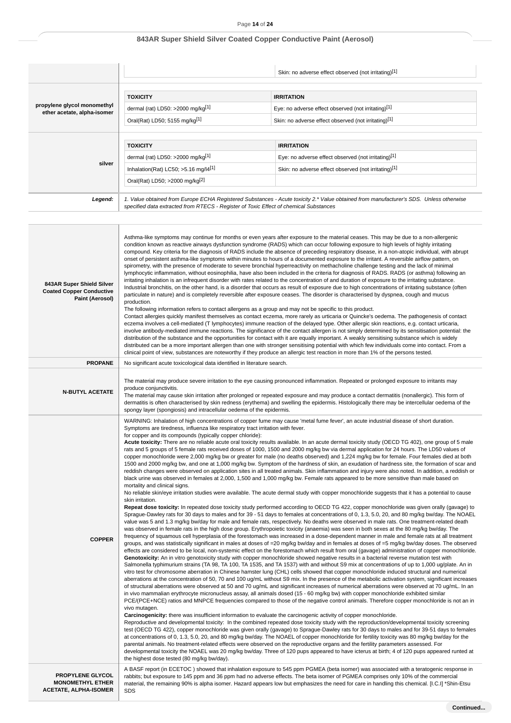|                                                            |                                                                                                                                                          | Skin: no adverse effect observed (not irritating)[1]                                                                                   |
|------------------------------------------------------------|----------------------------------------------------------------------------------------------------------------------------------------------------------|----------------------------------------------------------------------------------------------------------------------------------------|
| propylene glycol monomethyl<br>ether acetate, alpha-isomer | <b>TOXICITY</b><br>dermal (rat) LD50: >2000 mg/kg <sup>[1]</sup><br>Oral(Rat) LD50; 5155 mg/kg[1]                                                        | <b>IRRITATION</b><br>Eye: no adverse effect observed (not irritating)[1]<br>Skin: no adverse effect observed (not irritating)[1]       |
| silver                                                     | <b>TOXICITY</b><br>dermal (rat) LD50: >2000 mg/kg[1]<br>Inhalation(Rat) LC50; $>5.16$ mg/l4 <sup>[1]</sup><br>Oral(Rat) LD50; >2000 mg/kg <sup>[2]</sup> | <b>IRRITATION</b><br>Eye: no adverse effect observed (not irritating)[1]<br>Skin: no adverse effect observed (not irritating)[1]       |
| Legend:                                                    | specified data extracted from RTECS - Register of Toxic Effect of chemical Substances                                                                    | 1. Value obtained from Europe ECHA Registered Substances - Acute toxicity 2.* Value obtained from manufacturer's SDS. Unless otherwise |

| 843AR Super Shield Silver<br><b>Coated Copper Conductive</b><br>Paint (Aerosol) | Asthma-like symptoms may continue for months or even years after exposure to the material ceases. This may be due to a non-allergenic<br>condition known as reactive airways dysfunction syndrome (RADS) which can occur following exposure to high levels of highly irritating<br>compound. Key criteria for the diagnosis of RADS include the absence of preceding respiratory disease, in a non-atopic individual, with abrupt<br>onset of persistent asthma-like symptoms within minutes to hours of a documented exposure to the irritant. A reversible airflow pattern, on<br>spirometry, with the presence of moderate to severe bronchial hyperreactivity on methacholine challenge testing and the lack of minimal<br>lymphocytic inflammation, without eosinophilia, have also been included in the criteria for diagnosis of RADS. RADS (or asthma) following an<br>irritating inhalation is an infrequent disorder with rates related to the concentration of and duration of exposure to the irritating substance.<br>Industrial bronchitis, on the other hand, is a disorder that occurs as result of exposure due to high concentrations of irritating substance (often<br>particulate in nature) and is completely reversible after exposure ceases. The disorder is characterised by dyspnea, cough and mucus<br>production.<br>The following information refers to contact allergens as a group and may not be specific to this product.<br>Contact allergies quickly manifest themselves as contact eczema, more rarely as urticaria or Quincke's oedema. The pathogenesis of contact<br>eczema involves a cell-mediated (T lymphocytes) immune reaction of the delayed type. Other allergic skin reactions, e.g. contact urticaria,<br>involve antibody-mediated immune reactions. The significance of the contact allergen is not simply determined by its sensitisation potential: the<br>distribution of the substance and the opportunities for contact with it are equally important. A weakly sensitising substance which is widely<br>distributed can be a more important allergen than one with stronger sensitising potential with which few individuals come into contact. From a<br>clinical point of view, substances are noteworthy if they produce an allergic test reaction in more than 1% of the persons tested.                                                                                                                                                                                                                                                                                                                                                                                                                                                                                                                                                                                                                                                                                                                                                                                                                                                                                                                                                                                                                                                                                                                                                                                                                                                                                                                                                                                                                                                                                                                                                                                                                                                                                                                                                                                                                                                                                                                                                                                                                                                    |
|---------------------------------------------------------------------------------|----------------------------------------------------------------------------------------------------------------------------------------------------------------------------------------------------------------------------------------------------------------------------------------------------------------------------------------------------------------------------------------------------------------------------------------------------------------------------------------------------------------------------------------------------------------------------------------------------------------------------------------------------------------------------------------------------------------------------------------------------------------------------------------------------------------------------------------------------------------------------------------------------------------------------------------------------------------------------------------------------------------------------------------------------------------------------------------------------------------------------------------------------------------------------------------------------------------------------------------------------------------------------------------------------------------------------------------------------------------------------------------------------------------------------------------------------------------------------------------------------------------------------------------------------------------------------------------------------------------------------------------------------------------------------------------------------------------------------------------------------------------------------------------------------------------------------------------------------------------------------------------------------------------------------------------------------------------------------------------------------------------------------------------------------------------------------------------------------------------------------------------------------------------------------------------------------------------------------------------------------------------------------------------------------------------------------------------------------------------------------------------------------------------------------------------------------------------------------------------------------------------------------------------------------------------------------------------------------------------------------------------------------------------------------------------------------------------------------------------------------------------------------------------------------------------------------------------------------------------------------------------------------------------------------------------------------------------------------------------------------------------------------------------------------------------------------------------------------------------------------------------------------------------------------------------------------------------------------------------------------------------------------------------------------------------------------------------------------------------------------------------------------------------------------------------------------------------------------------------------------------------------------------------------------------------------------------------------------------------------------------------------------------------------------------------------------------------------------------------------------------------------------------------------------------------------------------------------------------------------------------------------------------------------------------------------------------------------------------------------------------------------------------------------------------------------------------------------------------------------------------------------------------------------------------------------------------------------------------------------------------------------------------------------------------------------------------------------------------------------------------------------------------|
| <b>PROPANE</b>                                                                  | No significant acute toxicological data identified in literature search.                                                                                                                                                                                                                                                                                                                                                                                                                                                                                                                                                                                                                                                                                                                                                                                                                                                                                                                                                                                                                                                                                                                                                                                                                                                                                                                                                                                                                                                                                                                                                                                                                                                                                                                                                                                                                                                                                                                                                                                                                                                                                                                                                                                                                                                                                                                                                                                                                                                                                                                                                                                                                                                                                                                                                                                                                                                                                                                                                                                                                                                                                                                                                                                                                                                                                                                                                                                                                                                                                                                                                                                                                                                                                                                                                                                                                                                                                                                                                                                                                                                                                                                                                                                                                                                                                                                                 |
| <b>N-BUTYL ACETATE</b>                                                          | The material may produce severe irritation to the eye causing pronounced inflammation. Repeated or prolonged exposure to irritants may<br>produce conjunctivitis.<br>The material may cause skin irritation after prolonged or repeated exposure and may produce a contact dermatitis (nonallergic). This form of<br>dermatitis is often characterised by skin redness (erythema) and swelling the epidermis. Histologically there may be intercellular oedema of the<br>spongy layer (spongiosis) and intracellular oedema of the epidermis.                                                                                                                                                                                                                                                                                                                                                                                                                                                                                                                                                                                                                                                                                                                                                                                                                                                                                                                                                                                                                                                                                                                                                                                                                                                                                                                                                                                                                                                                                                                                                                                                                                                                                                                                                                                                                                                                                                                                                                                                                                                                                                                                                                                                                                                                                                                                                                                                                                                                                                                                                                                                                                                                                                                                                                                                                                                                                                                                                                                                                                                                                                                                                                                                                                                                                                                                                                                                                                                                                                                                                                                                                                                                                                                                                                                                                                                            |
| <b>COPPER</b>                                                                   | WARNING: Inhalation of high concentrations of copper fume may cause 'metal fume fever', an acute industrial disease of short duration.<br>Symptoms are tiredness, influenza like respiratory tract irritation with fever.<br>for copper and its compounds (typically copper chloride):<br>Acute toxicity: There are no reliable acute oral toxicity results available. In an acute dermal toxicity study (OECD TG 402), one group of 5 male<br>rats and 5 groups of 5 female rats received doses of 1000, 1500 and 2000 mg/kg bw via dermal application for 24 hours. The LD50 values of<br>copper monochloride were 2,000 mg/kg bw or greater for male (no deaths observed) and 1,224 mg/kg bw for female. Four females died at both<br>1500 and 2000 mg/kg bw, and one at 1,000 mg/kg bw. Symptom of the hardness of skin, an exudation of hardness site, the formation of scar and<br>reddish changes were observed on application sites in all treated animals. Skin inflammation and injury were also noted. In addition, a reddish or<br>black urine was observed in females at 2,000, 1,500 and 1,000 mg/kg bw. Female rats appeared to be more sensitive than male based on<br>mortality and clinical signs.<br>No reliable skin/eye irritation studies were available. The acute dermal study with copper monochloride suggests that it has a potential to cause<br>skin irritation.<br>Repeat dose toxicity: In repeated dose toxicity study performed according to OECD TG 422, copper monochloride was given orally (gavage) to<br>Sprague-Dawley rats for 30 days to males and for 39 - 51 days to females at concentrations of 0, 1.3, 5.0, 20, and 80 mg/kg bw/day. The NOAEL<br>value was 5 and 1.3 mg/kg bw/day for male and female rats, respectively. No deaths were observed in male rats. One treatment-related death<br>was observed in female rats in the high dose group. Erythropoietic toxicity (anaemia) was seen in both sexes at the 80 mg/kg bw/day. The<br>frequency of squamous cell hyperplasia of the forestomach was increased in a dose-dependent manner in male and female rats at all treatment<br>groups, and was statistically significant in males at doses of =20 mg/kg bw/day and in females at doses of =5 mg/kg bw/day doses. The observed<br>effects are considered to be local, non-systemic effect on the forestomach which result from oral (gavage) administration of copper monochloride.<br>Genotoxicity: An in vitro genotoxicity study with copper monochloride showed negative results in a bacterial reverse mutation test with<br>Salmonella typhimurium strains (TA 98, TA 100, TA 1535, and TA 1537) with and without S9 mix at concentrations of up to 1,000 ug/plate. An in<br>vitro test for chromosome aberration in Chinese hamster lung (CHL) cells showed that copper monochloride induced structural and numerical<br>aberrations at the concentration of 50, 70 and 100 ug/mL without S9 mix. In the presence of the metabolic activation system, significant increases<br>of structural aberrations were observed at 50 and 70 ug/mL and significant increases of numerical aberrations were observed at 70 ug/mL. In an<br>in vivo mammalian erythrocyte micronucleus assay, all animals dosed (15 - 60 mg/kg bw) with copper monochloride exhibited similar<br>PCE/(PCE+NCE) ratios and MNPCE frequencies compared to those of the negative control animals. Therefore copper monochloride is not an in<br>vivo mutagen.<br>Carcinogenicity: there was insufficient information to evaluate the carcinogenic activity of copper monochloride.<br>Reproductive and developmental toxicity: In the combined repeated dose toxicity study with the reproduction/developmental toxicity screening<br>test (OECD TG 422), copper monochloride was given orally (gavage) to Sprague-Dawley rats for 30 days to males and for 39-51 days to females<br>at concentrations of 0, 1.3, 5.0, 20, and 80 mg/kg bw/day. The NOAEL of copper monochloride for fertility toxicity was 80 mg/kg bw/day for the<br>parental animals. No treatment-related effects were observed on the reproductive organs and the fertility parameters assessed. For<br>developmental toxicity the NOAEL was 20 mg/kg bw/day. Three of 120 pups appeared to have icterus at birth; 4 of 120 pups appeared runted at<br>the highest dose tested (80 mg/kg bw/day). |
| PROPYLENE GLYCOL<br><b>MONOMETHYL ETHER</b><br><b>ACETATE, ALPHA-ISOMER</b>     | A BASF report (in ECETOC) showed that inhalation exposure to 545 ppm PGMEA (beta isomer) was associated with a teratogenic response in<br>rabbits; but exposure to 145 ppm and 36 ppm had no adverse effects. The beta isomer of PGMEA comprises only 10% of the commercial<br>material, the remaining 90% is alpha isomer. Hazard appears low but emphasizes the need for care in handling this chemical. [I.C.I] *Shin-Etsu<br><b>SDS</b>                                                                                                                                                                                                                                                                                                                                                                                                                                                                                                                                                                                                                                                                                                                                                                                                                                                                                                                                                                                                                                                                                                                                                                                                                                                                                                                                                                                                                                                                                                                                                                                                                                                                                                                                                                                                                                                                                                                                                                                                                                                                                                                                                                                                                                                                                                                                                                                                                                                                                                                                                                                                                                                                                                                                                                                                                                                                                                                                                                                                                                                                                                                                                                                                                                                                                                                                                                                                                                                                                                                                                                                                                                                                                                                                                                                                                                                                                                                                                              |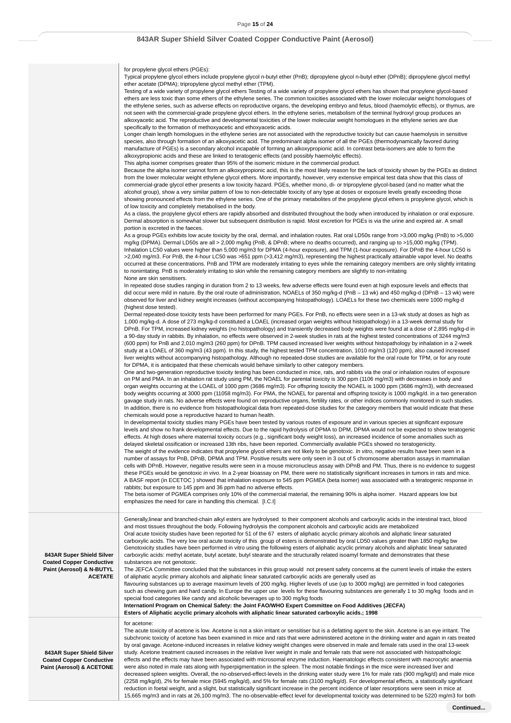for propylene glycol ethers (PGEs): Typical propylene glycol ethers include propylene glycol n-butyl ether (PnB); dipropylene glycol n-butyl ether (DPnB); dipropylene glycol methyl ether acetate (DPMA); tripropylene glycol methyl ether (TPM). Testing of a wide variety of propylene glycol ethers Testing of a wide variety of propylene glycol ethers has shown that propylene glycol-based ethers are less toxic than some ethers of the ethylene series. The common toxicities associated with the lower molecular weight homologues of the ethylene series, such as adverse effects on reproductive organs, the developing embryo and fetus, blood (haemolytic effects), or thymus, are not seen with the commercial-grade propylene glycol ethers. In the ethylene series, metabolism of the terminal hydroxyl group produces an alkoxyacetic acid. The reproductive and developmental toxicities of the lower molecular weight homologues in the ethylene series are due specifically to the formation of methoxyacetic and ethoxyacetic acids. Longer chain length homologues in the ethylene series are not associated with the reproductive toxicity but can cause haemolysis in sensitive species, also through formation of an alkoxyacetic acid. The predominant alpha isomer of all the PGEs (thermodynamically favored during manufacture of PGEs) is a secondary alcohol incapable of forming an alkoxypropionic acid. In contrast beta-isomers are able to form the alkoxypropionic acids and these are linked to teratogenic effects (and possibly haemolytic effects). This alpha isomer comprises greater than 95% of the isomeric mixture in the commercial product. Because the alpha isomer cannot form an alkoxypropionic acid, this is the most likely reason for the lack of toxicity shown by the PGEs as distinct from the lower molecular weight ethylene glycol ethers. More importantly, however, very extensive empirical test data show that this class of commercial-grade glycol ether presents a low toxicity hazard. PGEs, whether mono, di- or tripropylene glycol-based (and no matter what the alcohol group), show a very similar pattern of low to non-detectable toxicity of any type at doses or exposure levels greatly exceeding those showing pronounced effects from the ethylene series. One of the primary metabolites of the propylene glycol ethers is propylene glycol, which is of low toxicity and completely metabolised in the body. As a class, the propylene glycol ethers are rapidly absorbed and distributed throughout the body when introduced by inhalation or oral exposure. Dermal absorption is somewhat slower but subsequent distribution is rapid. Most excretion for PGEs is via the urine and expired air. A small portion is excreted in the faeces. As a group PGEs exhibits low acute toxicity by the oral, dermal, and inhalation routes. Rat oral LD50s range from >3,000 mg/kg (PnB) to >5,000 mg/kg (DPMA). Dermal LD50s are all > 2,000 mg/kg (PnB, & DPnB; where no deaths occurred), and ranging up to >15,000 mg/kg (TPM). Inhalation LC50 values were higher than 5,000 mg/m3 for DPMA (4-hour exposure), and TPM (1-hour exposure). For DPnB the 4-hour LC50 is >2,040 mg/m3. For PnB, the 4-hour LC50 was >651 ppm (>3,412 mg/m3), representing the highest practically attainable vapor level. No deaths occurred at these concentrations. PnB and TPM are moderately irritating to eyes while the remaining category members are only slightly irritating to nonirritating. PnB is moderately irritating to skin while the remaining category members are slightly to non-irritating None are skin sensitisers. In repeated dose studies ranging in duration from 2 to 13 weeks, few adverse effects were found even at high exposure levels and effects that did occur were mild in nature. By the oral route of administration, NOAELs of 350 mg/kg-d (PnB – 13 wk) and 450 mg/kg-d (DPnB – 13 wk) were observed for liver and kidney weight increases (without accompanying histopathology). LOAELs for these two chemicals were 1000 mg/kg-d (highest dose tested). Dermal repeated-dose toxicity tests have been performed for many PGEs. For PnB, no effects were seen in a 13-wk study at doses as high as 1,000 mg/kg-d. A dose of 273 mg/kg-d constituted a LOAEL (increased organ weights without histopathology) in a 13-week dermal study for DPnB. For TPM, increased kidney weights (no histopathology) and transiently decreased body weights were found at a dose of 2,895 mg/kg-d in a 90-day study in rabbits. By inhalation, no effects were observed in 2-week studies in rats at the highest tested concentrations of 3244 mg/m3 (600 ppm) for PnB and 2,010 mg/m3 (260 ppm) for DPnB. TPM caused increased liver weights without histopathology by inhalation in a 2-week study at a LOAEL of 360 mg/m3 (43 ppm). In this study, the highest tested TPM concentration, 1010 mg/m3 (120 ppm), also caused increased liver weights without accompanying histopathology. Although no repeated-dose studies are available for the oral route for TPM, or for any route for DPMA, it is anticipated that these chemicals would behave similarly to other category members. One and two-generation reproductive toxicity testing has been conducted in mice, rats, and rabbits via the oral or inhalation routes of exposure on PM and PMA. In an inhalation rat study using PM, the NOAEL for parental toxicity is 300 ppm (1106 mg/m3) with decreases in body and organ weights occurring at the LOAEL of 1000 ppm (3686 mg/m3). For offspring toxicity the NOAEL is 1000 ppm (3686 mg/m3), with decreased body weights occurring at 3000 ppm (11058 mg/m3). For PMA, the NOAEL for parental and offspring toxicity is 1000 mg/kg/d. in a two generation gavage study in rats. No adverse effects were found on reproductive organs, fertility rates, or other indices commonly monitored in such studies. In addition, there is no evidence from histopathological data from repeated-dose studies for the category members that would indicate that these chemicals would pose a reproductive hazard to human health. In developmental toxicity studies many PGEs have been tested by various routes of exposure and in various species at significant exposure levels and show no frank developmental effects. Due to the rapid hydrolysis of DPMA to DPM, DPMA would not be expected to show teratogenic effects. At high doses where maternal toxicity occurs (e.g., significant body weight loss), an increased incidence of some anomalies such as delayed skeletal ossification or increased 13th ribs, have been reported. Commercially available PGEs showed no teratogenicity. The weight of the evidence indicates that propylene glycol ethers are not likely to be genotoxic. In vitro, negative results have been seen in a number of assays for PnB, DPnB, DPMA and TPM. Positive results were only seen in 3 out of 5 chromosome aberration assays in mammalian cells with DPnB. However, negative results were seen in a mouse micronucleus assay with DPnB and PM. Thus, there is no evidence to suggest these PGEs would be genotoxic in vivo. In a 2-year bioassay on PM, there were no statistically significant increases in tumors in rats and mice. A BASF report (in ECETOC ) showed that inhalation exposure to 545 ppm PGMEA (beta isomer) was associated with a teratogenic response in rabbits; but exposure to 145 ppm and 36 ppm had no adverse effects. The beta isomer of PGMEA comprises only 10% of the commercial material, the remaining 90% is alpha isomer. Hazard appears low but emphasizes the need for care in handling this chemical. [I.C.I] **843AR Super Shield Silver Coated Copper Conductive Paint (Aerosol) & N-BUTYL ACETATE** Generally,linear and branched-chain alkyl esters are hydrolysed to their component alcohols and carboxylic acids in the intestinal tract, blood and most tissues throughout the body. Following hydrolysis the component alcohols and carboxylic acids are metabolized Oral acute toxicity studies have been reported for 51 of the 67 esters of aliphatic acyclic primary alcohols and aliphatic linear saturated carboxylic acids. The very low oral acute toxicity of this group of esters is demonstrated by oral LD50 values greater than 1850 mg/kg bw Genotoxicity studies have been performed in vitro using the following esters of aliphatic acyclic primary alcohols and aliphatic linear saturated carboxylic acids: methyl acetate, butyl acetate, butyl stearate and the structurally related isoamyl formate and demonstrates that these substances are not genotoxic. The JEFCA Committee concluded that the substances in this group would not present safety concerns at the current levels of intake the esters of aliphatic acyclic primary alcohols and aliphatic linear saturated carboxylic acids are generally used as flavouring substances up to average maximum levels of 200 mg/kg. Higher levels of use (up to 3000 mg/kg) are permitted in food categories such as chewing gum and hard candy. In Europe the upper use levels for these flavouring substances are generally 1 to 30 mg/kg foods and in special food categories like candy and alcoholic beverages up to 300 mg/kg foods **Internationl Program on Chemical Safety: the Joint FAO/WHO Expert Committee on Food Additives (JECFA) Esters of Aliphatic acyclic primary alcohols with aliphatic linear saturated carboxylic acids.; 1998 843AR Super Shield Silver Coated Copper Conductive Paint (Aerosol) & ACETONE** for acetone: The acute toxicity of acetone is low. Acetone is not a skin irritant or sensitiser but is a defatting agent to the skin. Acetone is an eye irritant. The subchronic toxicity of acetone has been examined in mice and rats that were administered acetone in the drinking water and again in rats treated by oral gavage. Acetone-induced increases in relative kidney weight changes were observed in male and female rats used in the oral 13-week study. Acetone treatment caused increases in the relative liver weight in male and female rats that were not associated with histopathologic effects and the effects may have been associated with microsomal enzyme induction. Haematologic effects consistent with macrocytic anaemia were also noted in male rats along with hyperpigmentation in the spleen. The most notable findings in the mice were increased liver and decreased spleen weights. Overall, the no-observed-effect-levels in the drinking water study were 1% for male rats (900 mg/kg/d) and male mice (2258 mg/kg/d), 2% for female mice (5945 mg/kg/d), and 5% for female rats (3100 mg/kg/d). For developmental effects, a statistically significant reduction in foetal weight, and a slight, but statistically significant increase in the percent incidence of later resorptions were seen in mice at

15,665 mg/m3 and in rats at 26,100 mg/m3. The no-observable-effect level for developmental toxicity was determined to be 5220 mg/m3 for both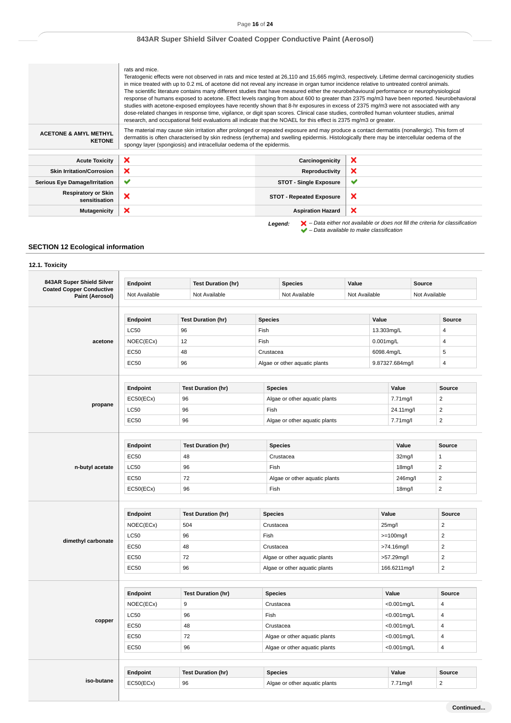### Page **16** of **24**

## **843AR Super Shield Silver Coated Copper Conductive Paint (Aerosol)**

|                                                   | rats and mice.<br>Teratogenic effects were not observed in rats and mice tested at 26,110 and 15,665 mg/m3, respectively. Lifetime dermal carcinogenicity studies<br>in mice treated with up to 0.2 mL of acetone did not reveal any increase in organ tumor incidence relative to untreated control animals.<br>The scientific literature contains many different studies that have measured either the neurobehavioural performance or neurophysiological<br>studies with acetone-exposed employees have recently shown that 8-hr exposures in excess of 2375 mg/m3 were not associated with any<br>dose-related changes in response time, vigilance, or digit span scores. Clinical case studies, controlled human volunteer studies, animal<br>research, and occupational field evaluations all indicate that the NOAEL for this effect is 2375 mg/m3 or greater. |                                 | response of humans exposed to acetone. Effect levels ranging from about 600 to greater than 2375 mg/m3 have been reported. Neurobehavioral                          |
|---------------------------------------------------|-----------------------------------------------------------------------------------------------------------------------------------------------------------------------------------------------------------------------------------------------------------------------------------------------------------------------------------------------------------------------------------------------------------------------------------------------------------------------------------------------------------------------------------------------------------------------------------------------------------------------------------------------------------------------------------------------------------------------------------------------------------------------------------------------------------------------------------------------------------------------|---------------------------------|---------------------------------------------------------------------------------------------------------------------------------------------------------------------|
| <b>ACETONE &amp; AMYL METHYL</b><br><b>KETONE</b> | The material may cause skin irritation after prolonged or repeated exposure and may produce a contact dermatitis (nonallergic). This form of<br>dermatitis is often characterised by skin redness (erythema) and swelling epidermis. Histologically there may be intercellular oedema of the<br>spongy layer (spongiosis) and intracellular oedema of the epidermis.                                                                                                                                                                                                                                                                                                                                                                                                                                                                                                  |                                 |                                                                                                                                                                     |
| <b>Acute Toxicity</b>                             | ×                                                                                                                                                                                                                                                                                                                                                                                                                                                                                                                                                                                                                                                                                                                                                                                                                                                                     | Carcinogenicity                 | ×                                                                                                                                                                   |
|                                                   | ×                                                                                                                                                                                                                                                                                                                                                                                                                                                                                                                                                                                                                                                                                                                                                                                                                                                                     |                                 | ×                                                                                                                                                                   |
| <b>Skin Irritation/Corrosion</b>                  |                                                                                                                                                                                                                                                                                                                                                                                                                                                                                                                                                                                                                                                                                                                                                                                                                                                                       | Reproductivity                  |                                                                                                                                                                     |
| <b>Serious Eye Damage/Irritation</b>              | ✔                                                                                                                                                                                                                                                                                                                                                                                                                                                                                                                                                                                                                                                                                                                                                                                                                                                                     | <b>STOT - Single Exposure</b>   | ✔                                                                                                                                                                   |
| <b>Respiratory or Skin</b><br>sensitisation       | ×                                                                                                                                                                                                                                                                                                                                                                                                                                                                                                                                                                                                                                                                                                                                                                                                                                                                     | <b>STOT - Repeated Exposure</b> | ×                                                                                                                                                                   |
| <b>Mutagenicity</b>                               | ×                                                                                                                                                                                                                                                                                                                                                                                                                                                                                                                                                                                                                                                                                                                                                                                                                                                                     | <b>Aspiration Hazard</b>        | ×                                                                                                                                                                   |
|                                                   |                                                                                                                                                                                                                                                                                                                                                                                                                                                                                                                                                                                                                                                                                                                                                                                                                                                                       | Legend:                         | $\blacktriangleright$ - Data either not available or does not fill the criteria for classification<br>$\blacktriangleright$ - Data available to make classification |

### **SECTION 12 Ecological information**

# **12.1. Toxicity 843AR Super Shield Silver Coated Copper Conductive Paint (Aerosol) Endpoint Test Duration (hr) Species Value Source** Not Available Not Available Not Available Not Available Not Available **acetone Endpoint Test Duration (hr) Species Value Source** LC50 96 Fish 13.303mg/L 4  $NOEC(ECx)$  12 Fish 0.001mg/L 4 EC50 48 Crustacea 6098.4mg/L 5 EC50 96 Algae or other aquatic plants 9.87327.684mg/l 4 **propane Endpoint Test Duration (hr) Species Value Source** EC50(ECx) 96 Algae or other aquatic plants 7.71 mg/l 2  $\left\lfloor \frac{1}{96} \right\rfloor$  Pish 24.11mg/l 25.11mg/l 25.11mg/l 25.11mg/l 25.11mg/l 25.11mg/l 25.11mg/l 25.11mg/l 25.11mg/l 25.11mg/l 25.11mg/l 25.11mg/l 25.11mg/l 25.11mg/l 25.11mg/l 25.11mg/l 25.11mg/l 25.11mg/l 25.11mg/l 25.11 EC50 96 Algae or other aquatic plants 7.71 mg/l 2 **n-butyl acetate Endpoint Test Duration (hr) Species Value Source**  $EC50$   $|48$  Crustacea  $|32 \text{mg/}1|$  1  $\left\lfloor \frac{\mathsf{LCS0}}{2} \right\rfloor = \left\lfloor \frac{\mathsf{S}}{2} \right\rfloor = \left\lfloor \frac{\mathsf{S}}{2} \right\rfloor$  and  $\left\lfloor \frac{\mathsf{S}}{2} \right\rfloor = \left\lfloor \frac{\mathsf{S}}{2} \right\rfloor$  and  $\left\lfloor \frac{\mathsf{S}}{2} \right\rfloor = \left\lfloor \frac{\mathsf{S}}{2} \right\rfloor$  and  $\left\lfloor \frac{\mathsf{S}}{2} \right\rfloor = \left\lfloor \frac{\mathsf{S}}{2} \right\rfloor$  a EC50 72 Algae or other aquatic plants 246mg/l 2  $\textsf{EC50}\textsf{(ECx)} \quad | \textsf{96} \quad | \textsf{Fish} \quad | \textsf{18mg/l} \quad | \textsf{2}$ **dimethyl carbonate Endpoint Test Duration (hr) Species Value Source** NOEC(ECx) 504 Crustacea 25mg/l 25mg/l 25mg/l 25mg/l 25mg/l 25mg/l 25mg/l 25mg/l 25mg/l 25mg/l 25mg/l 25mg/l 25mg/l 25mg/l 25mg/l 25mg/l 25mg/l 25mg/l 25mg/l 25mg/l 25mg/l 25mg/l 25mg/l 25mg/l 25mg/l 25mg/l 25mg/l 25mg/l 25  $\left\lfloor \frac{\text{LCS0}}{\text{LCS0}} \right\rfloor = \frac{100 \text{ mgl}}{\text{s}}$  $E$ C50  $\vert$  48  $\vert$  Crustacea  $\vert$  21.16mg/l  $\vert$  2 EC50 72 Algae or other aquatic plants >57.29mg/l 2 EC50 96 Algae or other aquatic plants 166.6211mg/l 2 **copper Endpoint Test Duration (hr) Species Value Source** NOEC(ECx) | 9 | Crustacea | <0.001mg/L | 4 LC50 Fish <0.001mg/L 4 EC50 | 48 Crustacea | <0.001mg/L | 4 EC50 72 Algae or other aquatic plants <0.001mg/L 4 EC50 96 Algae or other aquatic plants  $\sim$  0.001mg/L 4

|            | Endpoint       | Duration (br) | Species                            | Value     | <b>Source</b> |
|------------|----------------|---------------|------------------------------------|-----------|---------------|
| iso-butane | -Cx1<br>$\sim$ | 96            | other aquatic plants<br>، صصر<br>. | ا/71mg. ، |               |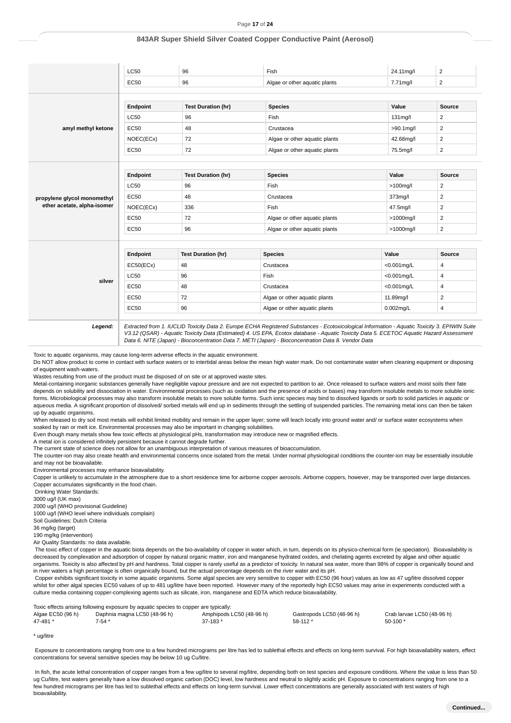|                             | <b>LC50</b> | 96                        | Fish                          | 24.11mg/l      | $\overline{2}$          |
|-----------------------------|-------------|---------------------------|-------------------------------|----------------|-------------------------|
|                             | <b>EC50</b> | 96                        | Algae or other aquatic plants | 7.71mg/l       | $\overline{2}$          |
|                             |             |                           |                               |                |                         |
|                             | Endpoint    | <b>Test Duration (hr)</b> | <b>Species</b>                | Value          | Source                  |
|                             | <b>LC50</b> | 96                        | Fish                          | 131mg/l        | $\overline{2}$          |
| amyl methyl ketone          | <b>EC50</b> | 48                        | Crustacea                     | $>90.1$ mg/l   | $\overline{\mathbf{c}}$ |
|                             | NOEC(ECx)   | 72                        | Algae or other aquatic plants | 42.68mg/l      | $\overline{2}$          |
|                             | <b>EC50</b> | 72                        | Algae or other aquatic plants | 75.5mg/l       | $\overline{2}$          |
|                             |             |                           |                               |                |                         |
|                             | Endpoint    | <b>Test Duration (hr)</b> | <b>Species</b>                | Value          | <b>Source</b>           |
|                             | <b>LC50</b> | 96                        | Fish                          | $>100$ mg/l    | $\overline{2}$          |
| propylene glycol monomethyl | <b>EC50</b> | 48                        | Crustacea                     | 373mg/l        | $\overline{2}$          |
| ether acetate, alpha-isomer | NOEC(ECx)   | 336                       | Fish                          | 47.5mg/l       | $\overline{a}$          |
|                             | <b>EC50</b> | 72                        | Algae or other aquatic plants | >1000mg/l      | $\overline{2}$          |
|                             | <b>EC50</b> | 96                        | Algae or other aquatic plants | >1000mg/l      | $\overline{2}$          |
|                             |             |                           |                               |                |                         |
|                             | Endpoint    | <b>Test Duration (hr)</b> | <b>Species</b>                | Value          | Source                  |
|                             | EC50(ECx)   | 48                        | Crustacea                     | $< 0.001$ mg/L | 4                       |
|                             | <b>LC50</b> | 96                        | Fish                          | $< 0.001$ mg/L | 4                       |
| silver                      | <b>EC50</b> | 48                        | Crustacea                     | $< 0.001$ mg/L | 4                       |
|                             | <b>EC50</b> | 72                        | Algae or other aquatic plants | 11.89mg/l      | $\overline{c}$          |
|                             | <b>EC50</b> | 96                        | Algae or other aquatic plants | $0.002$ mg/L   | 4                       |

V3.12 (QSAR) - Aquatic Toxicity Data (Estimated) 4. US EPA, Ecotox database - Aquatic Toxicity Data 5. ECETOC Aquatic Hazard Assessment Data 6. NITE (Japan) - Bioconcentration Data 7. METI (Japan) - Bioconcentration Data 8. Vendor Data

Toxic to aquatic organisms, may cause long-term adverse effects in the aquatic environment.

Do NOT allow product to come in contact with surface waters or to intertidal areas below the mean high water mark. Do not contaminate water when cleaning equipment or disposing of equipment wash-waters.

Wastes resulting from use of the product must be disposed of on site or at approved waste sites.

Metal-containing inorganic substances generally have negligible vapour pressure and are not expected to partition to air. Once released to surface waters and moist soils their fate depends on solubility and dissociation in water. Environmental processes (such as oxidation and the presence of acids or bases) may transform insoluble metals to more soluble ionic forms. Microbiological processes may also transform insoluble metals to more soluble forms. Such ionic species may bind to dissolved ligands or sorb to solid particles in aquatic or aqueous media. A significant proportion of dissolved/ sorbed metals will end up in sediments through the settling of suspended particles. The remaining metal ions can then be taken up by aquatic organisms.

When released to dry soil most metals will exhibit limited mobility and remain in the upper layer; some will leach locally into ground water and/ or surface water ecosystems when soaked by rain or melt ice. Environmental processes may also be important in changing solubilities.

Even though many metals show few toxic effects at physiological pHs, transformation may introduce new or magnified effects.

A metal ion is considered infinitely persistent because it cannot degrade further.

The current state of science does not allow for an unambiguous interpretation of various measures of bioaccumulation.

The counter-ion may also create health and environmental concerns once isolated from the metal. Under normal physiological conditions the counter-ion may be essentially insoluble and may not be bioavailable.

Environmental processes may enhance bioavailability.

Copper is unlikely to accumulate in the atmosphere due to a short residence time for airborne copper aerosols. Airborne coppers, however, may be transported over large distances. Copper accumulates significantly in the food chain.

Drinking Water Standards:

3000 ug/l (UK max)

2000 ug/l (WHO provisional Guideline)

1000 ug/l (WHO level where individuals complain)

Soil Guidelines: Dutch Criteria

36 mg/kg (target)

190 mg/kg (intervention)

Air Quality Standards: no data available.

The toxic effect of copper in the aquatic biota depends on the bio-availability of copper in water which, in turn, depends on its physico-chemical form (ie.speciation). Bioavailability is decreased by complexation and adsorption of copper by natural organic matter, iron and manganese hydrated oxides, and chelating agents excreted by algae and other aquatic organisms. Toxicity is also affected by pH and hardness. Total copper is rarely useful as a predictor of toxicity. In natural sea water, more than 98% of copper is organically bound and in river waters a high percentage is often organically bound, but the actual percentage depends on the river water and its pH.

 Copper exhibits significant toxicity in some aquatic organisms. Some algal species are very sensitive to copper with EC50 (96 hour) values as low as 47 ug/litre dissolved copper whilst for other algal species EC50 values of up to 481 ug/litre have been reported. However many of the reportedly high EC50 values may arise in experiments conducted with a culture media containing copper-complexing agents such as silicate, iron, manganese and EDTA which reduce bioavailability.

| Toxic effects arising following exposure by aquatic species to copper are typically: |                              |                          |                           |                            |
|--------------------------------------------------------------------------------------|------------------------------|--------------------------|---------------------------|----------------------------|
| Algae EC50 (96 h)                                                                    | Daphnia magna LC50 (48-96 h) | Amphipods LC50 (48-96 h) | Gastropods LC50 (48-96 h) | Crab larvae LC50 (48-96 h) |
| 47-481                                                                               | 7-54 *                       | 37-183 *                 | $58-112*$                 | $50-100$ *                 |

\* ug/litre

 Exposure to concentrations ranging from one to a few hundred micrograms per litre has led to sublethal effects and effects on long-term survival. For high bioavailability waters, effect concentrations for several sensitive species may be below 10 ug Cu/litre.

 In fish, the acute lethal concentration of copper ranges from a few ug/litre to several mg/litre, depending both on test species and exposure conditions. Where the value is less than 50 ug Cu/litre, test waters generally have a low dissolved organic carbon (DOC) level, low hardness and neutral to slightly acidic pH. Exposure to concentrations ranging from one to a few hundred micrograms per litre has led to sublethal effects and effects on long-term survival. Lower effect concentrations are generally associated with test waters of high bioavailability.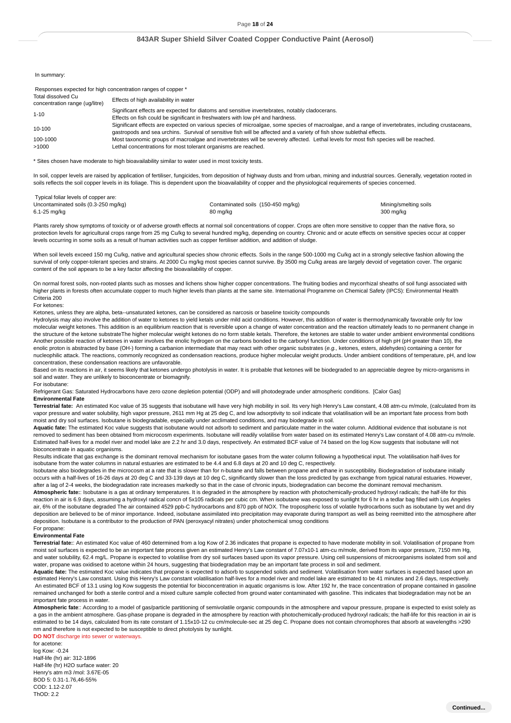In summary:

| Responses expected for high concentration ranges of copper * |                                                                                                                                                                                                                                                                              |
|--------------------------------------------------------------|------------------------------------------------------------------------------------------------------------------------------------------------------------------------------------------------------------------------------------------------------------------------------|
| Total dissolved Cu<br>concentration range (ug/litre)         | Effects of high availability in water                                                                                                                                                                                                                                        |
| $1 - 10$                                                     | Significant effects are expected for diatoms and sensitive invertebrates, notably cladocerans.                                                                                                                                                                               |
|                                                              | Effects on fish could be significant in freshwaters with low pH and hardness.                                                                                                                                                                                                |
| 10-100                                                       | Significant effects are expected on various species of microalgae, some species of macroalgae, and a range of invertebrates, including crustaceans,<br>gastropods and sea urchins. Survival of sensitive fish will be affected and a variety of fish show sublethal effects. |
| 100-1000                                                     | Most taxonomic groups of macroalgae and invertebrates will be severely affected. Lethal levels for most fish species will be reached.                                                                                                                                        |
| >1000                                                        | Lethal concentrations for most tolerant organisms are reached.                                                                                                                                                                                                               |

\* Sites chosen have moderate to high bioavailability similar to water used in most toxicity tests.

In soil, copper levels are raised by application of fertiliser, fungicides, from deposition of highway dusts and from urban, mining and industrial sources. Generally, vegetation rooted in soils reflects the soil copper levels in its foliage. This is dependent upon the bioavailability of copper and the physiological requirements of species concerned.

| Typical foliar levels of copper are: |  |  |  |              |  |
|--------------------------------------|--|--|--|--------------|--|
|                                      |  |  |  | $\sim$ $  -$ |  |

| Uncontaminated soils (0.3-250 mg/kg) | Contaminated soils (150-450 mg/kg) | Mining/smelting soils |
|--------------------------------------|------------------------------------|-----------------------|
| 6.1-25 mg/kg                         | 80 mg/kg                           | 300 mg/kg             |

Plants rarely show symptoms of toxicity or of adverse growth effects at normal soil concentrations of copper. Crops are often more sensitive to copper than the native flora, so protection levels for agricultural crops range from 25 mg Cu/kg to several hundred mg/kg, depending on country. Chronic and or acute effects on sensitive species occur at copper levels occurring in some soils as a result of human activities such as copper fertiliser addition, and addition of sludge.

When soil levels exceed 150 mg Cu/kg, native and agricultural species show chronic effects. Soils in the range 500-1000 mg Cu/kg act in a strongly selective fashion allowing the survival of only copper-tolerant species and strains. At 2000 Cu mg/kg most species cannot survive. By 3500 mg Cu/kg areas are largely devoid of vegetation cover. The organic content of the soil appears to be a key factor affecting the bioavailability of copper.

On normal forest soils, non-rooted plants such as mosses and lichens show higher copper concentrations. The fruiting bodies and mycorrhizal sheaths of soil fungi associated with higher plants in forests often accumulate copper to much higher levels than plants at the same site. International Programme on Chemical Safety (IPCS): Environmental Health Criteria 200

#### For ketones:

Ketones, unless they are alpha, beta--unsaturated ketones, can be considered as narcosis or baseline toxicity compounds

Hydrolysis may also involve the addition of water to ketones to yield ketals under mild acid conditions. However, this addition of water is thermodynamically favorable only for low molecular weight ketones. This addition is an equilibrium reaction that is reversible upon a change of water concentration and the reaction ultimately leads to no permanent change in the structure of the ketone substrateThe higher molecular weight ketones do no form stable ketals. Therefore, the ketones are stable to water under ambient environmental conditions Another possible reaction of ketones in water involves the enolic hydrogen on the carbons bonded to the carbonyl function. Under conditions of high pH (pH greater than 10), the enolic proton is abstracted by base (OH-) forming a carbanion intermediate that may react with other organic substrates (e.g., ketones, esters, aldehydes) containing a center for nucleophilic attack. The reactions, commonly recognized as condensation reactions, produce higher molecular weight products. Under ambient conditions of temperature, pH, and low concentration, these condensation reactions are unfavorable.

Based on its reactions in air, it seems likely that ketones undergo photolysis in water. It is probable that ketones will be biodegraded to an appreciable degree by micro-organisms in soil and water. They are unlikely to bioconcentrate or biomagnify.

#### For isobutane:

Refrigerant Gas: Saturated Hydrocarbons have zero ozone depletion potential (ODP) and will photodegrade under atmospheric conditions. [Calor Gas] **Environmental Fate**

**Terrestrial fate:** An estimated Koc value of 35 suggests that isobutane will have very high mobility in soil. Its very high Henry's Law constant, 4.08 atm-cu m/mole, (calculated from its vapor pressure and water solubility, high vapor pressure, 2611 mm Hg at 25 deg C, and low adsorptivity to soil indicate that volatilisation will be an important fate process from both moist and dry soil surfaces. Isobutane is biodegradable, especially under acclimated conditions, and may biodegrade in soil.

**Aquatic fate:** The estimated Koc value suggests that isobutane would not adsorb to sediment and particulate matter in the water column. Additional evidence that isobutane is not removed to sediment has been obtained from microcosm experiments. Isobutane will readily volatilise from water based on its estimated Henry's Law constant of 4.08 atm-cu m/mole. Estimated half-lives for a model river and model lake are 2.2 hr and 3.0 days, respectively. An estimated BCF value of 74 based on the log Kow suggests that isobutane will not bioconcentrate in aquatic organisms.

Results indicate that gas exchange is the dominant removal mechanism for isobutane gases from the water column following a hypothetical input. The volatilisation half-lives for isobutane from the water columns in natural estuaries are estimated to be 4.4 and 6.8 days at 20 and 10 deg C, respectively.

Isobutane also biodegrades in the microcosm at a rate that is slower than for n-butane and falls between propane and ethane in susceptibility. Biodegradation of isobutane initially occurs with a half-lives of 16-26 days at 20 deg C and 33-139 days at 10 deg C, significantly slower than the loss predicted by gas exchange from typical natural estuaries. However, after a lag of 2-4 weeks, the biodegradation rate increases markedly so that in the case of chronic inputs, biodegradation can become the dominant removal mechanism.

**Atmospheric fate:**: Isobutane is a gas at ordinary temperatures. It is degraded in the atmosphere by reaction with photochemically-produced hydroxyl radicals; the half-life for this reaction in air is 6.9 days, assuming a hydroxyl radical concn of 5x105 radicals per cubic cm. When isobutane was exposed to sunlight for 6 hr in a tedlar bag filled with Los Angeles air, 6% of the isobutane degraded The air contained 4529 ppb-C hydrocarbons and 870 ppb of NOX. The tropospheric loss of volatile hydrocarbons such as isobutane by wet and dry deposition are believed to be of minor importance. Indeed, isobutane assimilated into precipitation may evaporate during transport as well as being reemitted into the atmosphere after deposition. Isobutane is a contributor to the production of PAN (peroxyacyl nitrates) under photochemical smog conditions

#### For propane: **Environmental Fate**

**Terrestrial fate:**: An estimated Koc value of 460 determined from a log Kow of 2.36 indicates that propane is expected to have moderate mobility in soil. Volatilisation of propane from moist soil surfaces is expected to be an important fate process given an estimated Henry's Law constant of 7.07x10-1 atm-cu m/mole, derived from its vapor pressure, 7150 mm Hg, and water solubility, 62.4 mg/L. Propane is expected to volatilise from dry soil surfaces based upon its vapor pressure. Using cell suspensions of microorganisms isolated from soil and water, propane was oxidised to acetone within 24 hours, suggesting that biodegradation may be an important fate process in soil and sediment.

**Aquatic fate:** The estimated Koc value indicates that propane is expected to adsorb to suspended solids and sediment. Volatilisation from water surfaces is expected based upon an estimated Henry's Law constant. Using this Henry's Law constant volatilisation half-lives for a model river and model lake are estimated to be 41 minutes and 2.6 days, respectively. An estimated BCF of 13.1 using log Kow suggests the potential for bioconcentration in aquatic organisms is low. After 192 hr, the trace concentration of propane contained in gasoline remained unchanged for both a sterile control and a mixed culture sample collected from ground water contaminated with gasoline. This indicates that biodegradation may not be an important fate process in water.

**Atmospheric fate**:: According to a model of gas/particle partitioning of semivolatile organic compounds in the atmosphere and vapour pressure, propane is expected to exist solely as a gas in the ambient atmosphere. Gas-phase propane is degraded in the atmosphere by reaction with photochemically-produced hydroxyl radicals; the half-life for this reaction in air is estimated to be 14 days, calculated from its rate constant of 1.15x10-12 cu cm/molecule-sec at 25 deg C. Propane does not contain chromophores that absorb at wavelengths >290 nm and therefore is not expected to be susceptible to direct photolysis by sunlight.

**DO NOT** discharge into sewer or waterways.

for acetone: log Kow: -0.24 Half-life (hr) air: 312-1896 Half-life (hr) H2O surface water: 20 Henry's atm m3 /mol: 3.67E-05 BOD 5: 0.31-1.76,46-55% COD: 1.12-2.07 ThOD: 2.2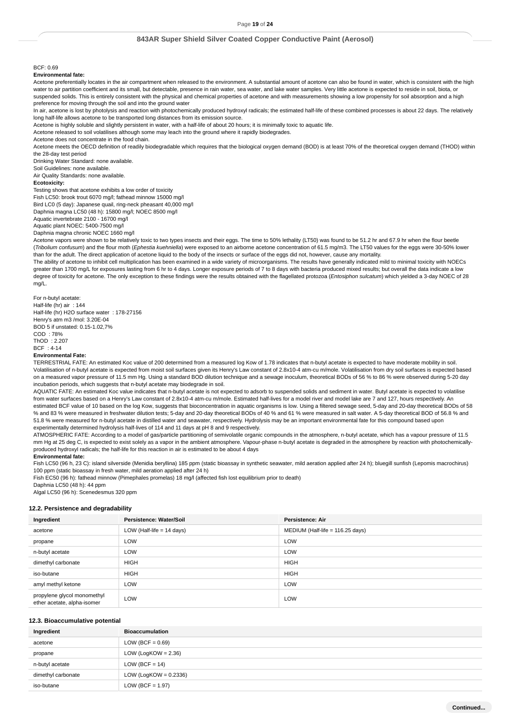### Page **19** of **24**

### **843AR Super Shield Silver Coated Copper Conductive Paint (Aerosol)**

#### BCF: 0.69

**Environmental fate:**

Acetone preferentially locates in the air compartment when released to the environment. A substantial amount of acetone can also be found in water, which is consistent with the high water to air partition coefficient and its small, but detectable, presence in rain water, sea water, and lake water samples. Very little acetone is expected to reside in soil, biota, or suspended solids. This is entirely consistent with the physical and chemical properties of acetone and with measurements showing a low propensity for soil absorption and a high preference for moving through the soil and into the ground water

.<br>In air, acetone is lost by photolysis and reaction with photochemically produced hydroxyl radicals; the estimated half-life of these combined processes is about 22 days. The relatively long half-life allows acetone to be transported long distances from its emission source.

Acetone is highly soluble and slightly persistent in water, with a half-life of about 20 hours; it is minimally toxic to aquatic life.

Acetone released to soil volatilises although some may leach into the ground where it rapidly biodegrades.

Acetone does not concentrate in the food chain.

Acetone meets the OECD definition of readily biodegradable which requires that the biological oxygen demand (BOD) is at least 70% of the theoretical oxygen demand (THOD) within the 28-day test period

Drinking Water Standard: none available.

Soil Guidelines: none available.

Air Quality Standards: none available.

### **Ecotoxicity:**

Testing shows that acetone exhibits a low order of toxicity Fish LC50: brook trout 6070 mg/l; fathead minnow 15000 mg/l Bird LC0 (5 day): Japanese quail, ring-neck pheasant 40,000 mg/l

Daphnia magna LC50 (48 h): 15800 mg/l; NOEC 8500 mg/l

Aquatic invertebrate 2100 - 16700 mg/l

Aquatic plant NOEC: 5400-7500 mg/l

Daphnia magna chronic NOEC 1660 mg/l

Acetone vapors were shown to be relatively toxic to two types insects and their eggs. The time to 50% lethality (LT50) was found to be 51.2 hr and 67.9 hr when the flour beetle (Tribolium confusum) and the flour moth (Ephestia kuehniella) were exposed to an airborne acetone concentration of 61.5 mg/m3. The LT50 values for the eggs were 30-50% lower than for the adult. The direct application of acetone liquid to the body of the insects or surface of the eggs did not, however, cause any mortality.

The ability of acetone to inhibit cell multiplication has been examined in a wide variety of microorganisms. The results have generally indicated mild to minimal toxicity with NOECs greater than 1700 mg/L for exposures lasting from 6 hr to 4 days. Longer exposure periods of 7 to 8 days with bacteria produced mixed results; but overall the data indicate a low degree of toxicity for acetone. The only exception to these findings were the results obtained with the flagellated protozoa (Entosiphon sulcatum) which yielded a 3-day NOEC of 28 mg/L.

For n-butyl acetate: Half-life (hr) air : 144 Half-life (hr) H2O surface water : 178-27156 Henry's atm m3 /mol: 3.20E-04 BOD 5 if unstated: 0.15-1.02,7% COD : 78% ThOD : 2.207 BCF : 4-14

#### **Environmental Fate:**

TERRESTRIAL FATE: An estimated Koc value of 200 determined from a measured log Kow of 1.78 indicates that n-butyl acetate is expected to have moderate mobility in soil. Volatilisation of n-butyl acetate is expected from moist soil surfaces given its Henry's Law constant of 2.8x10-4 atm-cu m/mole. Volatilisation from dry soil surfaces is expected based on a measured vapor pressure of 11.5 mm Hg. Using a standard BOD dilution technique and a sewage inoculum, theoretical BODs of 56 % to 86 % were observed during 5-20 day incubation periods, which suggests that n-butyl acetate may biodegrade in soil.

AQUATIC FATE: An estimated Koc value indicates that n-butyl acetate is not expected to adsorb to suspended solids and sediment in water. Butyl acetate is expected to volatilise from water surfaces based on a Henry's Law constant of 2.8x10-4 atm-cu m/mole. Estimated half-lives for a model river and model lake are 7 and 127, hours respectively. An estimated BCF value of 10 based on the log Kow, suggests that bioconcentration in aquatic organisms is low. Using a filtered sewage seed, 5-day and 20-day theoretical BODs of 58 % and 83 % were measured in freshwater dilution tests; 5-day and 20-day theoretical BODs of 40 % and 61 % were measured in salt water. A 5-day theoretical BOD of 56.8 % and 51.8 % were measured for n-butyl acetate in distilled water and seawater, respectively. Hydrolysis may be an important environmental fate for this compound based upon experimentally determined hydrolysis half-lives of 114 and 11 days at pH 8 and 9 respectively.

ATMOSPHERIC FATE: According to a model of gas/particle partitioning of semivolatile organic compounds in the atmosphere, n-butyl acetate, which has a vapour pressure of 11.5 mm Hg at 25 deg C, is expected to exist solely as a vapor in the ambient atmosphere. Vapour-phase n-butyl acetate is degraded in the atmosphere by reaction with photochemicallyproduced hydroxyl radicals; the half-life for this reaction in air is estimated to be about 4 days

#### **Environmental fate:**

Fish LC50 (96 h, 23 C): island silverside (Menidia beryllina) 185 ppm (static bioassay in synthetic seawater, mild aeration applied after 24 h); bluegill sunfish (Lepomis macrochirus) 100 ppm (static bioassay in fresh water, mild aeration applied after 24 h)

Fish EC50 (96 h): fathead minnow (Pimephales promelas) 18 mg/l (affected fish lost equilibrium prior to death)

Daphnia LC50 (48 h): 44 ppm

## Algal LC50 (96 h): Scenedesmus 320 ppm

#### **12.2. Persistence and degradability**

| Ingredient                                                 | Persistence: Water/Soil     | Persistence: Air                   |
|------------------------------------------------------------|-----------------------------|------------------------------------|
| acetone                                                    | LOW (Half-life $= 14$ days) | MEDIUM (Half-life = $116.25$ days) |
| propane                                                    | LOW                         | LOW                                |
| n-butyl acetate                                            | LOW                         | LOW                                |
| dimethyl carbonate                                         | <b>HIGH</b>                 | <b>HIGH</b>                        |
| iso-butane                                                 | <b>HIGH</b>                 | <b>HIGH</b>                        |
| amyl methyl ketone                                         | LOW                         | LOW                                |
| propylene glycol monomethyl<br>ether acetate, alpha-isomer | LOW                         | LOW                                |

#### **12.3. Bioaccumulative potential**

| Ingredient         | <b>Bioaccumulation</b>   |
|--------------------|--------------------------|
| acetone            | LOW (BCF = $0.69$ )      |
| propane            | LOW (LogKOW = $2.36$ )   |
| n-butyl acetate    | LOW (BCF = $14$ )        |
| dimethyl carbonate | LOW (LogKOW = $0.2336$ ) |
| iso-butane         | LOW (BCF = $1.97$ )      |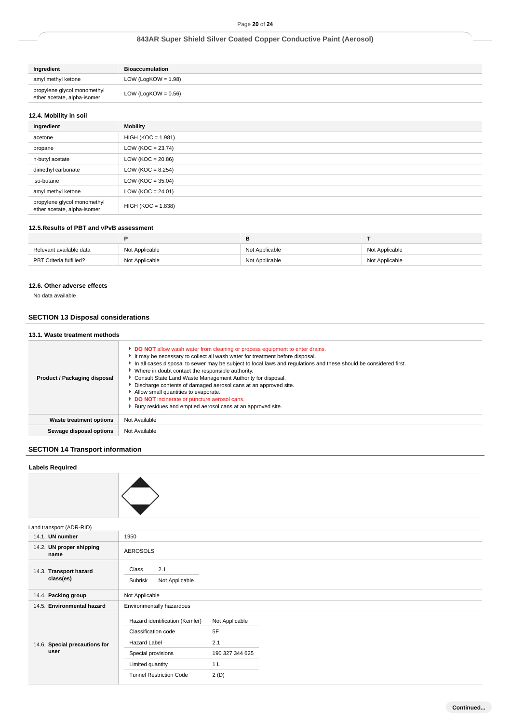| Ingredient                                                 | <b>Bioaccumulation</b> |
|------------------------------------------------------------|------------------------|
| amyl methyl ketone                                         | LOW (LogKOW = $1.98$ ) |
| propylene glycol monomethyl<br>ether acetate, alpha-isomer | LOW (LogKOW = $0.56$ ) |

### **12.4. Mobility in soil**

| Ingredient                                                 | Mobility              |
|------------------------------------------------------------|-----------------------|
| acetone                                                    | $HIGH (KOC = 1.981)$  |
| propane                                                    | LOW ( $KOC = 23.74$ ) |
| n-butyl acetate                                            | LOW ( $KOC = 20.86$ ) |
| dimethyl carbonate                                         | LOW ( $KOC = 8.254$ ) |
| iso-butane                                                 | LOW ( $KOC = 35.04$ ) |
| amyl methyl ketone                                         | $LOW (KOC = 24.01)$   |
| propylene glycol monomethyl<br>ether acetate, alpha-isomer | $HIGH (KOC = 1.838)$  |

#### **12.5.Results of PBT and vPvB assessment**

|                         |                | в              |                |
|-------------------------|----------------|----------------|----------------|
| Relevant available data | Not Applicable | Not Applicable | Not Applicable |
| PBT Criteria fulfilled? | Not Applicable | Not Applicable | Not Applicable |

### **12.6. Other adverse effects**

No data available

# **SECTION 13 Disposal considerations**

### **13.1. Waste treatment methods**

| Product / Packaging disposal | <b>DO NOT</b> allow wash water from cleaning or process equipment to enter drains.<br>It may be necessary to collect all wash water for treatment before disposal.<br>In all cases disposal to sewer may be subject to local laws and regulations and these should be considered first.<br>• Where in doubt contact the responsible authority.<br>Consult State Land Waste Management Authority for disposal.<br>Discharge contents of damaged aerosol cans at an approved site.<br>Allow small quantities to evaporate.<br><b>DO NOT</b> incinerate or puncture aerosol cans.<br>▶ Bury residues and emptied aerosol cans at an approved site. |
|------------------------------|-------------------------------------------------------------------------------------------------------------------------------------------------------------------------------------------------------------------------------------------------------------------------------------------------------------------------------------------------------------------------------------------------------------------------------------------------------------------------------------------------------------------------------------------------------------------------------------------------------------------------------------------------|
| Waste treatment options      | Not Available                                                                                                                                                                                                                                                                                                                                                                                                                                                                                                                                                                                                                                   |
| Sewage disposal options      | Not Available                                                                                                                                                                                                                                                                                                                                                                                                                                                                                                                                                                                                                                   |

# **SECTION 14 Transport information**

### **Labels Required**



14.1. **UN number** 1950 14.2. **UN proper shipping** 14.3. **Transport hazard** 14.4. **Packing group** Not Applicable 14.5. Environmental hazard 14.6. **Special precautions for** Land transport (ADR-RID) Tunnel Restriction Code **name** AEROSOLS **class(es)** Class 2.1 Subrisk Not Applicable **Environmentally hazardous user** Hazard identification (Kemler) Not Applicable Classification code 5F Hazard Label 2.1 Special provisions 190 327 344 625 Limited quantity 1 L 2 (D)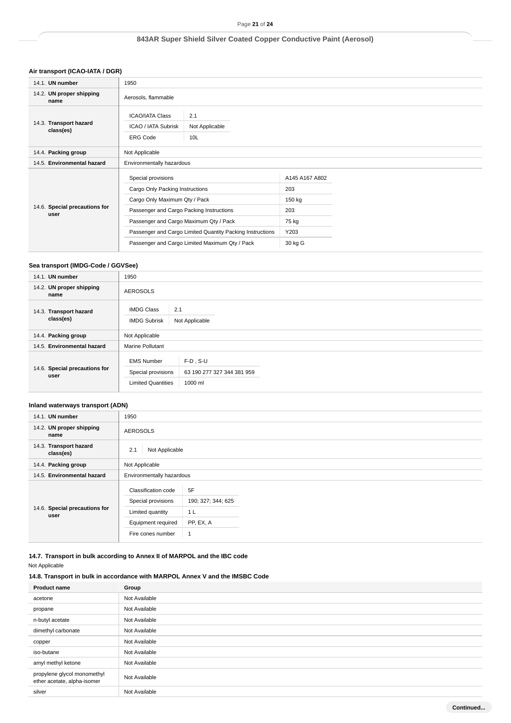# **Air transport (ICAO-IATA / DGR)**

| 14.1. UN number                       | 1950                                                                                                                                                                                                                                                                                        |                                          |                                                                    |  |  |
|---------------------------------------|---------------------------------------------------------------------------------------------------------------------------------------------------------------------------------------------------------------------------------------------------------------------------------------------|------------------------------------------|--------------------------------------------------------------------|--|--|
| 14.2. UN proper shipping<br>name      | Aerosols, flammable                                                                                                                                                                                                                                                                         |                                          |                                                                    |  |  |
| 14.3. Transport hazard<br>class(es)   | <b>ICAO/IATA Class</b><br>ICAO / IATA Subrisk<br><b>ERG Code</b>                                                                                                                                                                                                                            | 2.1<br>Not Applicable<br>10 <sub>L</sub> |                                                                    |  |  |
| 14.4. Packing group                   | Not Applicable                                                                                                                                                                                                                                                                              |                                          |                                                                    |  |  |
| 14.5. Environmental hazard            | Environmentally hazardous                                                                                                                                                                                                                                                                   |                                          |                                                                    |  |  |
| 14.6. Special precautions for<br>user | Special provisions<br>Cargo Only Packing Instructions<br>Cargo Only Maximum Qty / Pack<br>Passenger and Cargo Packing Instructions<br>Passenger and Cargo Maximum Qty / Pack<br>Passenger and Cargo Limited Quantity Packing Instructions<br>Passenger and Cargo Limited Maximum Qty / Pack |                                          | A145 A167 A802<br>203<br>150 kg<br>203<br>75 kg<br>Y203<br>30 kg G |  |  |

### **Sea transport (IMDG-Code / GGVSee)**

| 14.1. UN number                       | 1950                                                                 |                                                      |  |  |  |
|---------------------------------------|----------------------------------------------------------------------|------------------------------------------------------|--|--|--|
| 14.2. UN proper shipping<br>name      | <b>AEROSOLS</b>                                                      |                                                      |  |  |  |
| 14.3. Transport hazard<br>class(es)   | <b>IMDG Class</b><br>2.1<br>Not Applicable<br><b>IMDG Subrisk</b>    |                                                      |  |  |  |
| 14.4. Packing group                   | Not Applicable                                                       |                                                      |  |  |  |
| 14.5. Environmental hazard            | <b>Marine Pollutant</b>                                              |                                                      |  |  |  |
| 14.6. Special precautions for<br>user | <b>EMS Number</b><br>Special provisions<br><b>Limited Quantities</b> | $F-D$ . S-U<br>63 190 277 327 344 381 959<br>1000 ml |  |  |  |

# **Inland waterways transport (ADN)**

| 14.1. UN number                       | 1950                                                                                                                                  |                                 |  |
|---------------------------------------|---------------------------------------------------------------------------------------------------------------------------------------|---------------------------------|--|
| 14.2. UN proper shipping<br>name      | <b>AEROSOLS</b>                                                                                                                       |                                 |  |
| 14.3. Transport hazard<br>class(es)   | 2.1<br>Not Applicable                                                                                                                 |                                 |  |
| 14.4. Packing group                   | Not Applicable                                                                                                                        |                                 |  |
| 14.5. Environmental hazard            | Environmentally hazardous                                                                                                             |                                 |  |
| 14.6. Special precautions for<br>user | 5F<br>Classification code<br>Special provisions<br>Limited quantity<br>1 <sub>L</sub><br>Equipment required<br>Fire cones number<br>1 | 190; 327; 344; 625<br>PP, EX, A |  |

**14.7. Transport in bulk according to Annex II of MARPOL and the IBC code** Not Applicable

# **14.8. Transport in bulk in accordance with MARPOL Annex V and the IMSBC Code**

| <b>Product name</b>                                        | Group         |
|------------------------------------------------------------|---------------|
| acetone                                                    | Not Available |
| propane                                                    | Not Available |
| n-butyl acetate                                            | Not Available |
| dimethyl carbonate                                         | Not Available |
| copper                                                     | Not Available |
| iso-butane                                                 | Not Available |
| amyl methyl ketone                                         | Not Available |
| propylene glycol monomethyl<br>ether acetate, alpha-isomer | Not Available |
| silver                                                     | Not Available |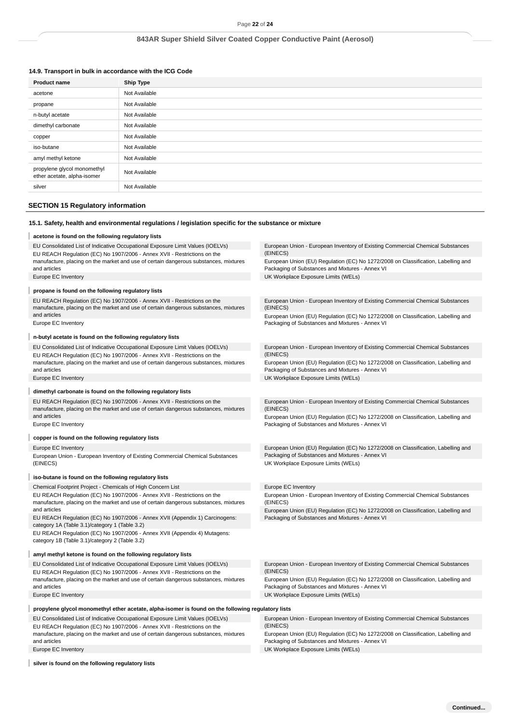# **14.9. Transport in bulk in accordance with the ICG Code**

| <b>Product name</b>                                        | <b>Ship Type</b> |
|------------------------------------------------------------|------------------|
| acetone                                                    | Not Available    |
| propane                                                    | Not Available    |
| n-butyl acetate                                            | Not Available    |
| dimethyl carbonate                                         | Not Available    |
| copper                                                     | Not Available    |
| iso-butane                                                 | Not Available    |
| amyl methyl ketone                                         | Not Available    |
| propylene glycol monomethyl<br>ether acetate, alpha-isomer | Not Available    |
| silver                                                     | Not Available    |
|                                                            |                  |

# **SECTION 15 Regulatory information**

|                                                               |                                                                                                                                                                  | Page 22 of 24                                                                                                                        |
|---------------------------------------------------------------|------------------------------------------------------------------------------------------------------------------------------------------------------------------|--------------------------------------------------------------------------------------------------------------------------------------|
|                                                               |                                                                                                                                                                  | 843AR Super Shield Silver Coated Copper Conductive Paint (Aerosol)                                                                   |
|                                                               |                                                                                                                                                                  |                                                                                                                                      |
|                                                               |                                                                                                                                                                  |                                                                                                                                      |
| 14.9. Transport in bulk in accordance with the ICG Code       |                                                                                                                                                                  |                                                                                                                                      |
| <b>Product name</b>                                           | <b>Ship Type</b>                                                                                                                                                 |                                                                                                                                      |
| acetone                                                       | Not Available                                                                                                                                                    |                                                                                                                                      |
| propane                                                       | Not Available                                                                                                                                                    |                                                                                                                                      |
| n-butyl acetate                                               | Not Available                                                                                                                                                    |                                                                                                                                      |
| dimethyl carbonate                                            | Not Available                                                                                                                                                    |                                                                                                                                      |
| copper                                                        | Not Available                                                                                                                                                    |                                                                                                                                      |
| iso-butane                                                    | Not Available                                                                                                                                                    |                                                                                                                                      |
| amyl methyl ketone                                            | Not Available                                                                                                                                                    |                                                                                                                                      |
| propylene glycol monomethyl<br>ether acetate, alpha-isomer    | Not Available                                                                                                                                                    |                                                                                                                                      |
| silver                                                        | Not Available                                                                                                                                                    |                                                                                                                                      |
| <b>SECTION 15 Regulatory information</b>                      |                                                                                                                                                                  |                                                                                                                                      |
|                                                               |                                                                                                                                                                  |                                                                                                                                      |
|                                                               | 15.1. Safety, health and environmental regulations / legislation specific for the substance or mixture                                                           |                                                                                                                                      |
| acetone is found on the following regulatory lists            |                                                                                                                                                                  |                                                                                                                                      |
|                                                               | EU Consolidated List of Indicative Occupational Exposure Limit Values (IOELVs)                                                                                   | European Union - European Inventory of Existing Commercial Chemical Substances                                                       |
|                                                               | EU REACH Regulation (EC) No 1907/2006 - Annex XVII - Restrictions on the                                                                                         | (EINECS)                                                                                                                             |
| and articles                                                  | manufacture, placing on the market and use of certain dangerous substances, mixtures                                                                             | European Union (EU) Regulation (EC) No 1272/2008 on Classification, Labelling and<br>Packaging of Substances and Mixtures - Annex VI |
| Europe EC Inventory                                           |                                                                                                                                                                  | UK Workplace Exposure Limits (WELs)                                                                                                  |
| propane is found on the following regulatory lists            |                                                                                                                                                                  |                                                                                                                                      |
|                                                               | EU REACH Regulation (EC) No 1907/2006 - Annex XVII - Restrictions on the                                                                                         | European Union - European Inventory of Existing Commercial Chemical Substances                                                       |
|                                                               | manufacture, placing on the market and use of certain dangerous substances, mixtures                                                                             | (EINECS)                                                                                                                             |
| and articles<br>Europe EC Inventory                           |                                                                                                                                                                  | European Union (EU) Regulation (EC) No 1272/2008 on Classification, Labelling and<br>Packaging of Substances and Mixtures - Annex VI |
| n-butyl acetate is found on the following regulatory lists    |                                                                                                                                                                  |                                                                                                                                      |
|                                                               | EU Consolidated List of Indicative Occupational Exposure Limit Values (IOELVs)                                                                                   | European Union - European Inventory of Existing Commercial Chemical Substances                                                       |
|                                                               | EU REACH Regulation (EC) No 1907/2006 - Annex XVII - Restrictions on the                                                                                         | (EINECS)                                                                                                                             |
|                                                               | manufacture, placing on the market and use of certain dangerous substances, mixtures                                                                             | European Union (EU) Regulation (EC) No 1272/2008 on Classification, Labelling and                                                    |
| and articles<br>Europe EC Inventory                           |                                                                                                                                                                  | Packaging of Substances and Mixtures - Annex VI<br>UK Workplace Exposure Limits (WELs)                                               |
|                                                               |                                                                                                                                                                  |                                                                                                                                      |
| dimethyl carbonate is found on the following regulatory lists |                                                                                                                                                                  |                                                                                                                                      |
|                                                               | EU REACH Regulation (EC) No 1907/2006 - Annex XVII - Restrictions on the                                                                                         | European Union - European Inventory of Existing Commercial Chemical Substances                                                       |
| and articles                                                  | manufacture, placing on the market and use of certain dangerous substances, mixtures                                                                             | (EINECS)<br>European Union (EU) Regulation (EC) No 1272/2008 on Classification, Labelling and                                        |
| Europe EC Inventory                                           |                                                                                                                                                                  | Packaging of Substances and Mixtures - Annex VI                                                                                      |
| copper is found on the following regulatory lists             |                                                                                                                                                                  |                                                                                                                                      |
| Europe EC Inventory                                           |                                                                                                                                                                  | European Union (EU) Regulation (EC) No 1272/2008 on Classification, Labelling and                                                    |
|                                                               | European Union - European Inventory of Existing Commercial Chemical Substances                                                                                   | Packaging of Substances and Mixtures - Annex VI                                                                                      |
| (EINECS)                                                      |                                                                                                                                                                  | UK Workplace Exposure Limits (WELs)                                                                                                  |
| iso-butane is found on the following regulatory lists         |                                                                                                                                                                  |                                                                                                                                      |
| Chemical Footprint Project - Chemicals of High Concern List   |                                                                                                                                                                  | Europe EC Inventory                                                                                                                  |
|                                                               | EU REACH Regulation (EC) No 1907/2006 - Annex XVII - Restrictions on the                                                                                         | European Union - European Inventory of Existing Commercial Chemical Substances                                                       |
| and articles                                                  | manufacture, placing on the market and use of certain dangerous substances, mixtures                                                                             | (EINECS)                                                                                                                             |
|                                                               | EU REACH Regulation (EC) No 1907/2006 - Annex XVII (Appendix 1) Carcinogens:                                                                                     | European Union (EU) Regulation (EC) No 1272/2008 on Classification, Labelling and<br>Packaging of Substances and Mixtures - Annex VI |
| category 1A (Table 3.1)/category 1 (Table 3.2)                |                                                                                                                                                                  |                                                                                                                                      |
| category 1B (Table 3.1)/category 2 (Table 3.2)                | EU REACH Regulation (EC) No 1907/2006 - Annex XVII (Appendix 4) Mutagens:                                                                                        |                                                                                                                                      |
|                                                               |                                                                                                                                                                  |                                                                                                                                      |
| amyl methyl ketone is found on the following regulatory lists |                                                                                                                                                                  |                                                                                                                                      |
|                                                               | EU Consolidated List of Indicative Occupational Exposure Limit Values (IOELVs)                                                                                   | European Union - European Inventory of Existing Commercial Chemical Substances<br>(EINECS)                                           |
|                                                               | EU REACH Regulation (EC) No 1907/2006 - Annex XVII - Restrictions on the<br>manufacture, placing on the market and use of certain dangerous substances, mixtures | European Union (EU) Regulation (EC) No 1272/2008 on Classification, Labelling and                                                    |
| and articles                                                  |                                                                                                                                                                  | Packaging of Substances and Mixtures - Annex VI                                                                                      |
| Europe EC Inventory                                           |                                                                                                                                                                  | UK Workplace Exposure Limits (WELs)                                                                                                  |
|                                                               | propylene glycol monomethyl ether acetate, alpha-isomer is found on the following regulatory lists                                                               |                                                                                                                                      |
|                                                               | EU Consolidated List of Indicative Occupational Exposure Limit Values (IOELVs)                                                                                   | European Union - European Inventory of Existing Commercial Chemical Substances                                                       |
|                                                               | EU REACH Regulation (EC) No 1907/2006 - Annex XVII - Restrictions on the                                                                                         | (EINECS)                                                                                                                             |
| and articles                                                  | manufacture, placing on the market and use of certain dangerous substances, mixtures                                                                             | European Union (EU) Regulation (EC) No 1272/2008 on Classification, Labelling and<br>Packaging of Substances and Mixtures - Annex VI |
| Europe EC Inventory                                           |                                                                                                                                                                  | UK Workplace Exposure Limits (WELs)                                                                                                  |
| silver is found on the following regulatory lists             |                                                                                                                                                                  |                                                                                                                                      |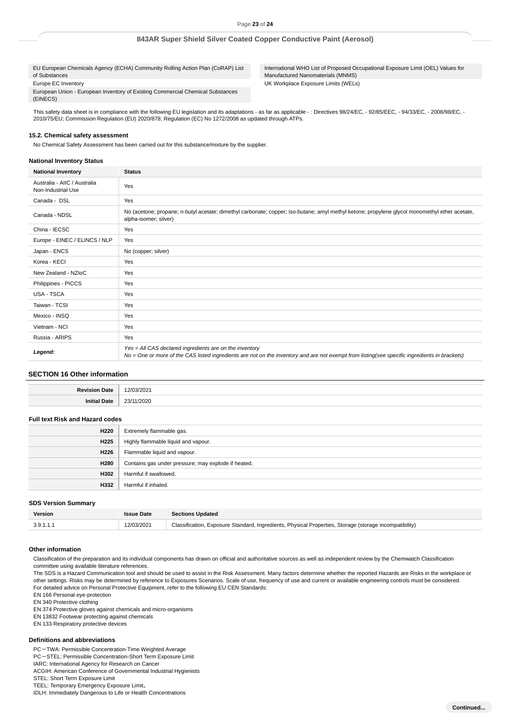EU European Chemicals Agency (ECHA) Community Rolling Action Plan (CoRAP) List of Substances Europe EC Inventory European Union - European Inventory of Existing Commercial Chemical Substances

International WHO List of Proposed Occupational Exposure Limit (OEL) Values for Manufactured Nanomaterials (MNMS) UK Workplace Exposure Limits (WELs)

This safety data sheet is in compliance with the following EU legislation and its adaptations - as far as applicable -: Directives 98/24/EC, - 92/85/EEC, - 94/33/EC, - 2008/98/EC, -2010/75/EU; Commission Regulation (EU) 2020/878; Regulation (EC) No 1272/2008 as updated through ATPs.

### **15.2. Chemical safety assessment**

No Chemical Safety Assessment has been carried out for this substance/mixture by the supplier.

#### **National Inventory Status**

(EINECS)

| <b>National Inventory</b>                          | <b>Status</b>                                                                                                                                                                                            |  |
|----------------------------------------------------|----------------------------------------------------------------------------------------------------------------------------------------------------------------------------------------------------------|--|
| Australia - AIIC / Australia<br>Non-Industrial Use | Yes                                                                                                                                                                                                      |  |
| Canada - DSL                                       | Yes                                                                                                                                                                                                      |  |
| Canada - NDSL                                      | No (acetone; propane; n-butyl acetate; dimethyl carbonate; copper; iso-butane; amyl methyl ketone; propylene glycol monomethyl ether acetate,<br>alpha-isomer; silver)                                   |  |
| China - IECSC                                      | Yes                                                                                                                                                                                                      |  |
| Europe - EINEC / ELINCS / NLP                      | Yes                                                                                                                                                                                                      |  |
| Japan - ENCS                                       | No (copper; silver)                                                                                                                                                                                      |  |
| Korea - KECI                                       | Yes                                                                                                                                                                                                      |  |
| New Zealand - NZIoC                                | Yes                                                                                                                                                                                                      |  |
| Philippines - PICCS                                | Yes                                                                                                                                                                                                      |  |
| <b>USA - TSCA</b>                                  | Yes                                                                                                                                                                                                      |  |
| Taiwan - TCSI                                      | Yes                                                                                                                                                                                                      |  |
| Mexico - INSQ                                      | Yes                                                                                                                                                                                                      |  |
| Vietnam - NCI                                      | Yes                                                                                                                                                                                                      |  |
| Russia - ARIPS                                     | Yes                                                                                                                                                                                                      |  |
| Legend:                                            | Yes = All CAS declared ingredients are on the inventory<br>No = One or more of the CAS listed ingredients are not on the inventory and are not exempt from listing(see specific ingredients in brackets) |  |

### **SECTION 16 Other information**

| 'ate       |     |
|------------|-----|
| nı<br>'ate | つへつ |

# **Full text Risk and Hazard codes**

| H220             | Extremely flammable gas.                            |
|------------------|-----------------------------------------------------|
| H <sub>225</sub> | Highly flammable liquid and vapour.                 |
| H <sub>226</sub> | Flammable liquid and vapour.                        |
| H280             | Contains gas under pressure; may explode if heated. |
| H302             | Harmful if swallowed.                               |
| H332             | Harmful if inhaled.                                 |

### **SDS Version Summary**

| Version   | sue Date   | <b>Sections Updated</b>                                                                                |
|-----------|------------|--------------------------------------------------------------------------------------------------------|
| 3.9.1.1.1 | 12/03/2021 | Classification, Exposure Standard, Ingredients, Physical Properties, Storage (storage incompatibility) |

#### **Other information**

Classification of the preparation and its individual components has drawn on official and authoritative sources as well as independent review by the Chemwatch Classification committee using available literature references.

The SDS is a Hazard Communication tool and should be used to assist in the Risk Assessment. Many factors determine whether the reported Hazards are Risks in the workplace or other settings. Risks may be determined by reference to Exposures Scenarios. Scale of use, frequency of use and current or available engineering controls must be considered. For detailed advice on Personal Protective Equipment, refer to the following EU CEN Standards:

EN 166 Personal eye-protection

EN 340 Protective clothing

EN 374 Protective gloves against chemicals and micro-organisms

EN 13832 Footwear protecting against chemicals

EN 133 Respiratory protective devices

#### **Definitions and abbreviations**

PC-TWA: Permissible Concentration-Time Weighted Average

PC-STEL: Permissible Concentration-Short Term Exposure Limit

IARC: International Agency for Research on Cancer ACGIH: American Conference of Governmental Industrial Hygienists

STEL: Short Term Exposure Limit

TEEL: Temporary Emergency Exposure Limit。

IDLH: Immediately Dangerous to Life or Health Concentrations